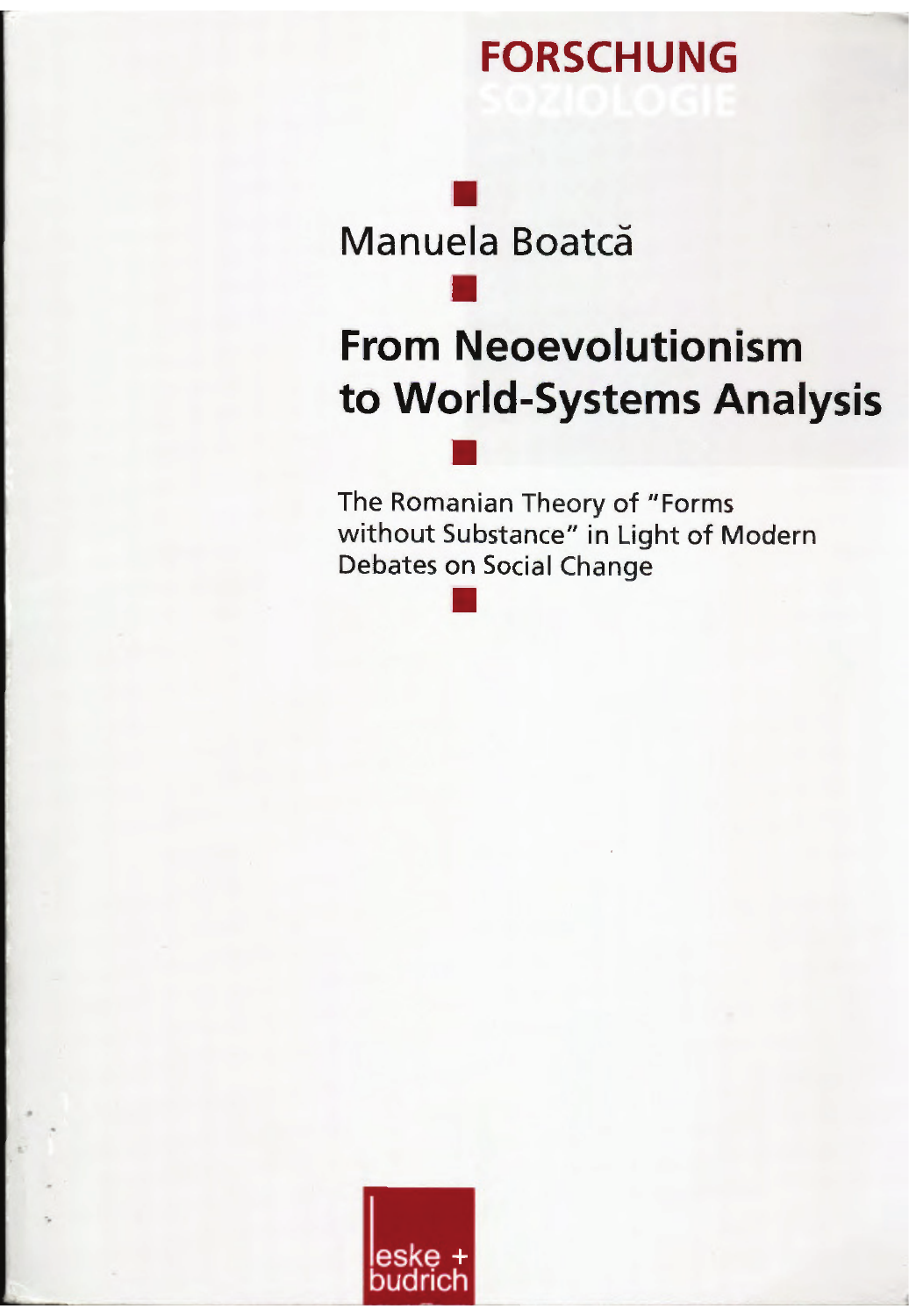## **FORSCHUNG**

Manuela Boatcă

# **From Neoevolutionism** to World-Systems Analysis

The Romanian Theory of "Forms without Substance" in Light of Modern **Debates on Social Change** 

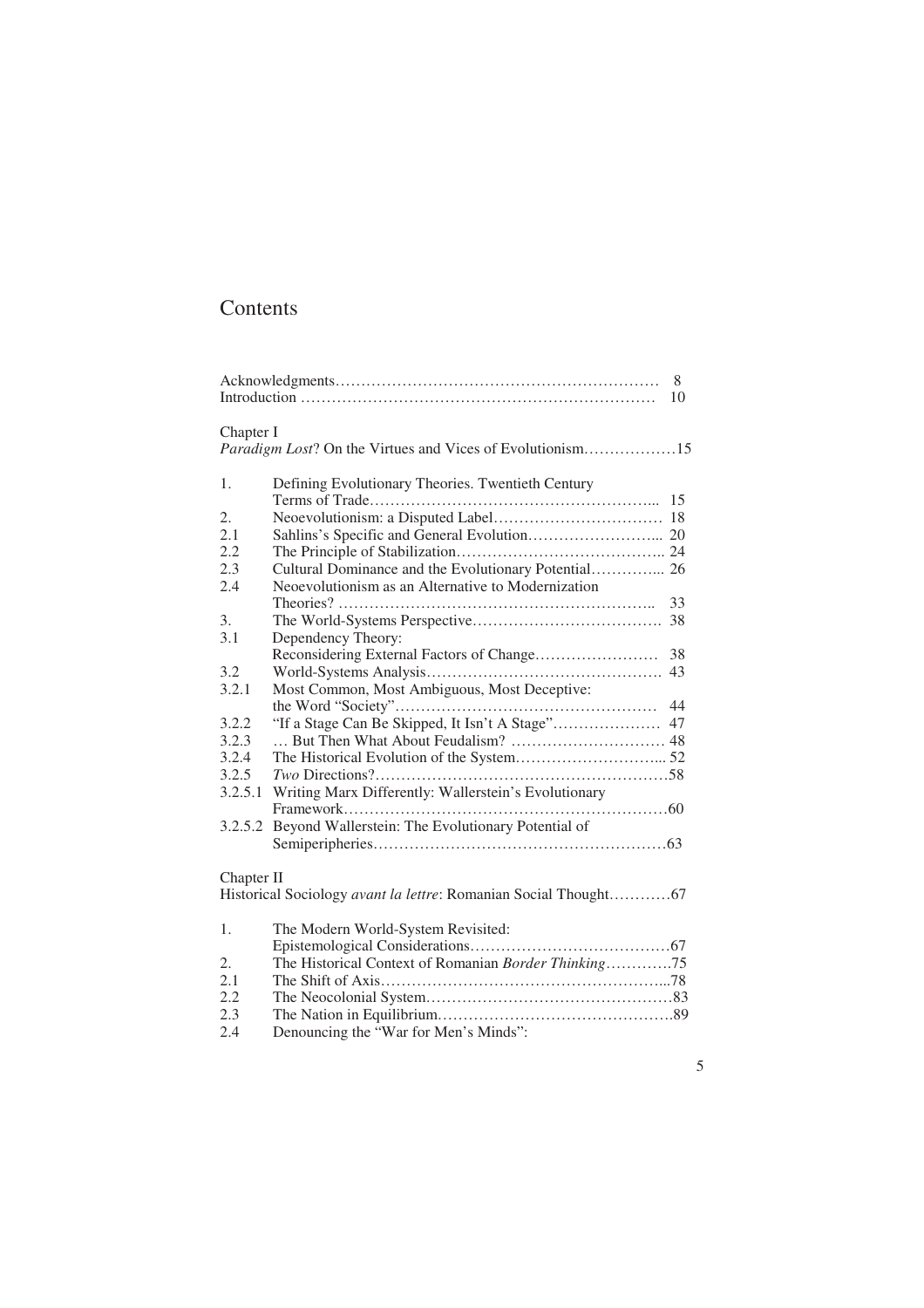### Contents

| 8<br>10                                                                |                                                                 |  |  |
|------------------------------------------------------------------------|-----------------------------------------------------------------|--|--|
| Chapter I<br>Paradigm Lost? On the Virtues and Vices of Evolutionism15 |                                                                 |  |  |
| 1.                                                                     | Defining Evolutionary Theories. Twentieth Century               |  |  |
|                                                                        | 15                                                              |  |  |
| $\overline{2}$ .                                                       |                                                                 |  |  |
| 2.1                                                                    |                                                                 |  |  |
| 2.2                                                                    |                                                                 |  |  |
| 2.3                                                                    | Cultural Dominance and the Evolutionary Potential 26            |  |  |
| 2.4                                                                    | Neoevolutionism as an Alternative to Modernization              |  |  |
|                                                                        | 33                                                              |  |  |
| 3.                                                                     |                                                                 |  |  |
| 3.1                                                                    | Dependency Theory:                                              |  |  |
|                                                                        | Reconsidering External Factors of Change<br>38                  |  |  |
| 3.2                                                                    |                                                                 |  |  |
| 3.2.1                                                                  | Most Common, Most Ambiguous, Most Deceptive:                    |  |  |
|                                                                        | 44                                                              |  |  |
| 3.2.2                                                                  |                                                                 |  |  |
| 3.2.3                                                                  |                                                                 |  |  |
| 3.2.4                                                                  |                                                                 |  |  |
| 3.2.5                                                                  |                                                                 |  |  |
| 3.2.5.1                                                                | Writing Marx Differently: Wallerstein's Evolutionary            |  |  |
|                                                                        |                                                                 |  |  |
| 3.2.5.2                                                                | Beyond Wallerstein: The Evolutionary Potential of               |  |  |
|                                                                        |                                                                 |  |  |
|                                                                        |                                                                 |  |  |
| Chapter II                                                             |                                                                 |  |  |
|                                                                        | Historical Sociology avant la lettre: Romanian Social Thought67 |  |  |
|                                                                        |                                                                 |  |  |
| $\mathbf{1}$ .                                                         | The Modern World-System Revisited:                              |  |  |
| $\overline{2}$ .                                                       | The Historical Context of Romanian Border Thinking75            |  |  |
| 2.1                                                                    |                                                                 |  |  |
| 2.2                                                                    |                                                                 |  |  |
| 2.3                                                                    |                                                                 |  |  |
| 2.4                                                                    | Denouncing the "War for Men's Minds":                           |  |  |
|                                                                        |                                                                 |  |  |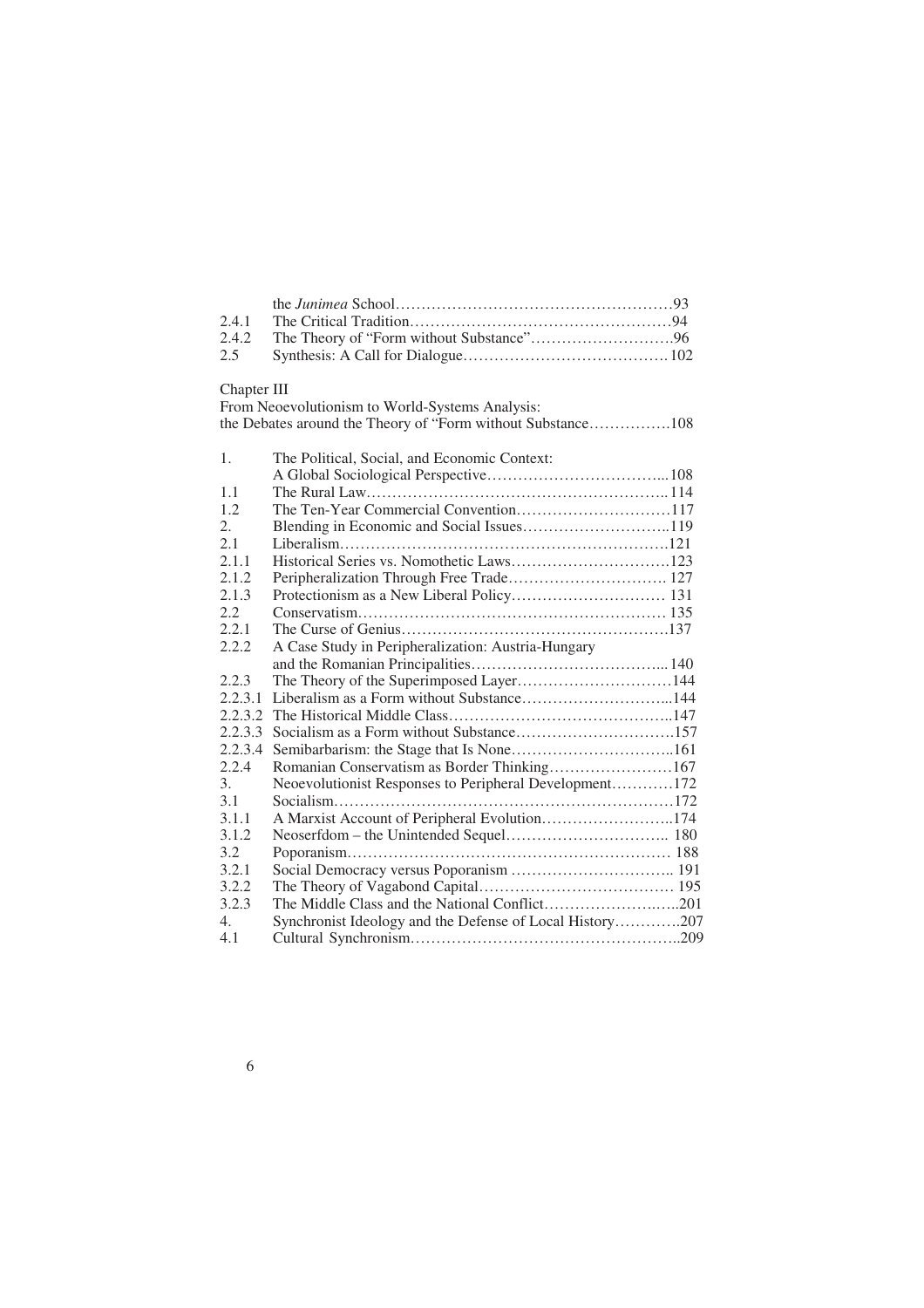| 2.4.1            |                                                             |
|------------------|-------------------------------------------------------------|
| 2.4.2            |                                                             |
| 2.5              |                                                             |
|                  |                                                             |
| Chapter III      |                                                             |
|                  | From Neoevolutionism to World-Systems Analysis:             |
|                  | the Debates around the Theory of "Form without Substance108 |
|                  |                                                             |
| 1.               | The Political, Social, and Economic Context:                |
|                  |                                                             |
| 1.1              |                                                             |
| 1.2              | The Ten-Year Commercial Convention117                       |
| 2.               |                                                             |
| 2.1              |                                                             |
| 2.1.1            |                                                             |
| 2.1.2            |                                                             |
| 2.1.3            |                                                             |
| 2.2              |                                                             |
| 2.2.1            |                                                             |
| 2.2.2            | A Case Study in Peripheralization: Austria-Hungary          |
|                  |                                                             |
| 2.2.3            | The Theory of the Superimposed Layer144                     |
| 2.2.3.1          | Liberalism as a Form without Substance144                   |
| 2.2.3.2          |                                                             |
| 2.2.3.3          |                                                             |
| 2.2.3.4          |                                                             |
| 2.2.4            | Romanian Conservatism as Border Thinking167                 |
| 3.               | Neoevolutionist Responses to Peripheral Development172      |
| 3.1              |                                                             |
| 3.1.1            | A Marxist Account of Peripheral Evolution174                |
| 3.1.2            |                                                             |
| 3.2              |                                                             |
| 3.2.1            | Social Democracy versus Poporanism  191                     |
| 3.2.2            |                                                             |
| 3.2.3            |                                                             |
| $\overline{4}$ . | Synchronist Ideology and the Defense of Local History207    |
| 4.1              |                                                             |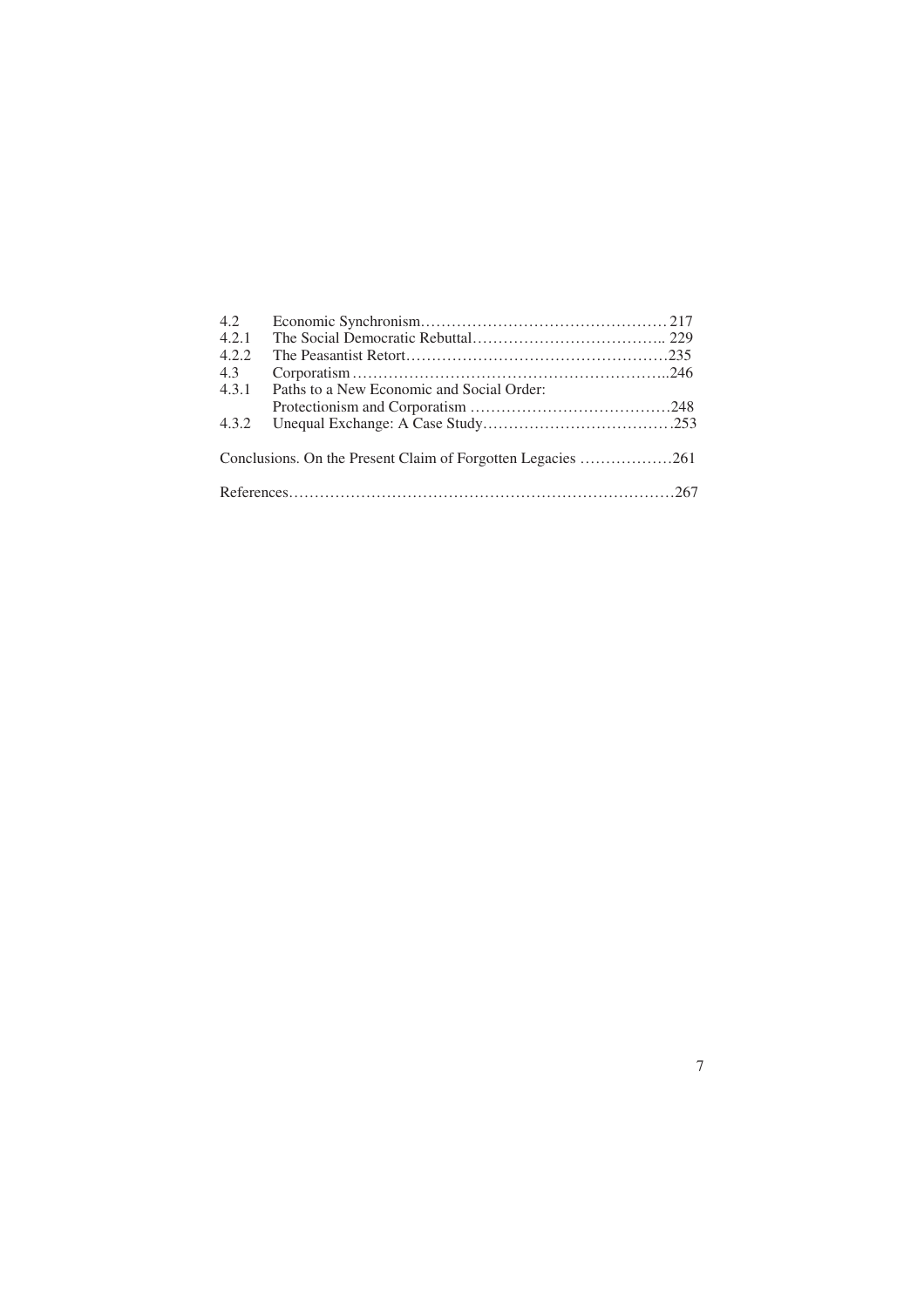| 4.2                                                         |                                           |  |  |
|-------------------------------------------------------------|-------------------------------------------|--|--|
| 4.2.1                                                       |                                           |  |  |
| 4.2.2                                                       |                                           |  |  |
| 4.3                                                         |                                           |  |  |
| 4.3.1                                                       | Paths to a New Economic and Social Order: |  |  |
|                                                             |                                           |  |  |
| 4.3.2                                                       |                                           |  |  |
| Conclusions. On the Present Claim of Forgotten Legacies 261 |                                           |  |  |
|                                                             |                                           |  |  |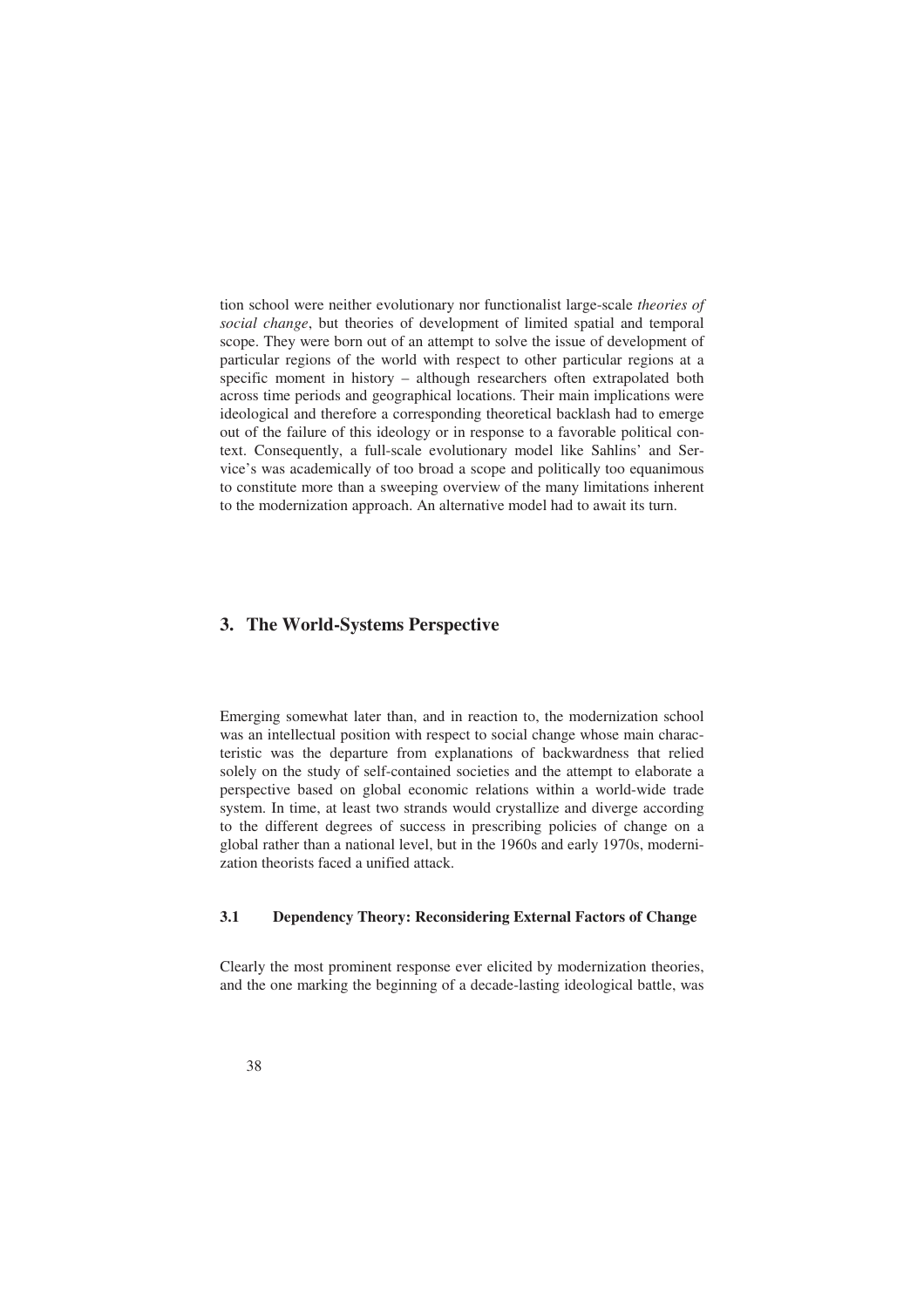tion school were neither evolutionary nor functionalist large-scale *theories of social change*, but theories of development of limited spatial and temporal scope. They were born out of an attempt to solve the issue of development of particular regions of the world with respect to other particular regions at a specific moment in history – although researchers often extrapolated both across time periods and geographical locations. Their main implications were ideological and therefore a corresponding theoretical backlash had to emerge out of the failure of this ideology or in response to a favorable political context. Consequently, a full-scale evolutionary model like Sahlins' and Service's was academically of too broad a scope and politically too equanimous to constitute more than a sweeping overview of the many limitations inherent to the modernization approach. An alternative model had to await its turn.

#### **3. The World-Systems Perspective**

Emerging somewhat later than, and in reaction to, the modernization school was an intellectual position with respect to social change whose main characteristic was the departure from explanations of backwardness that relied solely on the study of self-contained societies and the attempt to elaborate a perspective based on global economic relations within a world-wide trade system. In time, at least two strands would crystallize and diverge according to the different degrees of success in prescribing policies of change on a global rather than a national level, but in the 1960s and early 1970s, modernization theorists faced a unified attack.

#### **3.1 Dependency Theory: Reconsidering External Factors of Change**

Clearly the most prominent response ever elicited by modernization theories, and the one marking the beginning of a decade-lasting ideological battle, was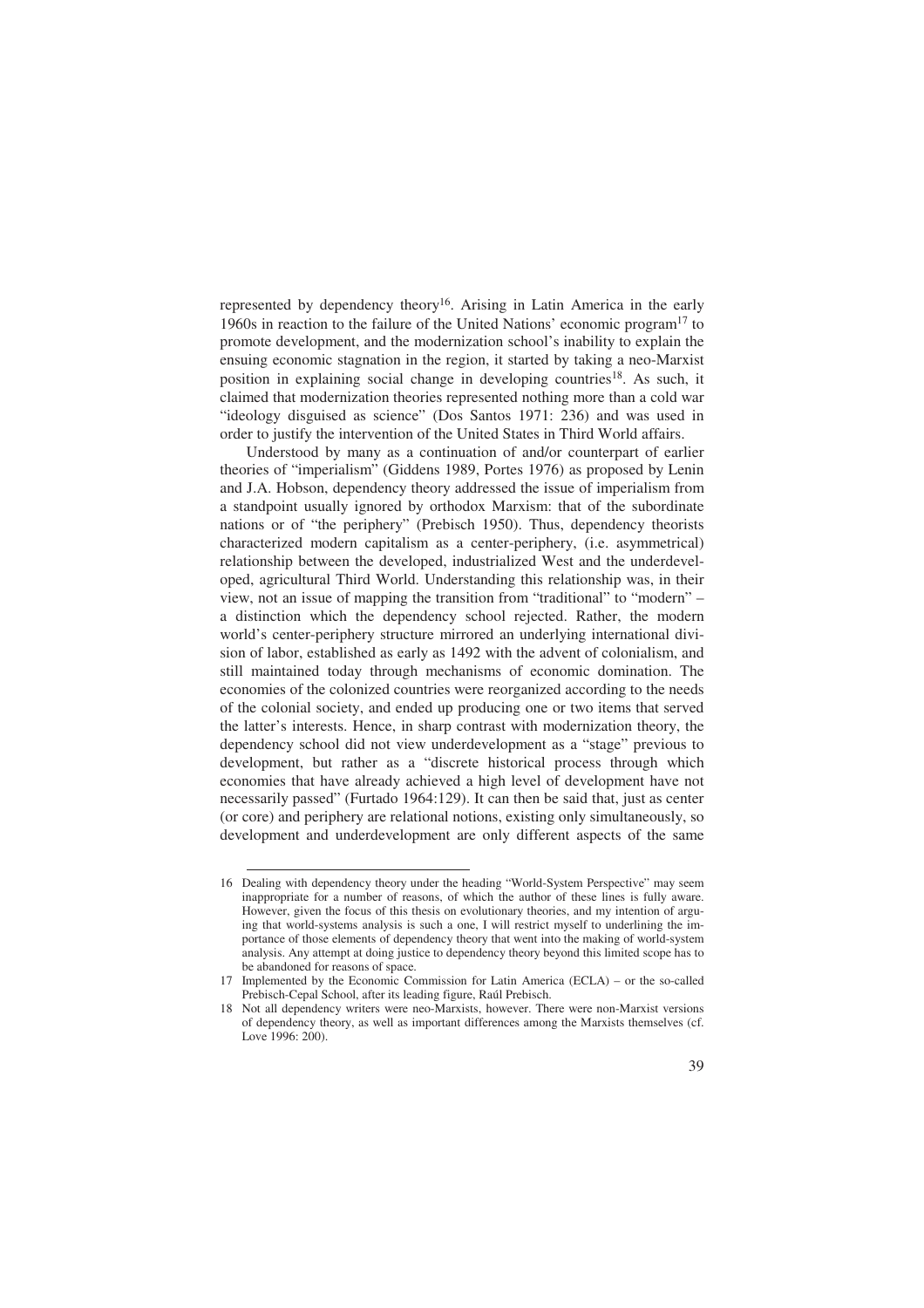represented by dependency theory16. Arising in Latin America in the early 1960s in reaction to the failure of the United Nations' economic program17 to promote development, and the modernization school's inability to explain the ensuing economic stagnation in the region, it started by taking a neo-Marxist position in explaining social change in developing countries<sup>18</sup>. As such, it claimed that modernization theories represented nothing more than a cold war "ideology disguised as science" (Dos Santos 1971: 236) and was used in order to justify the intervention of the United States in Third World affairs.

Understood by many as a continuation of and/or counterpart of earlier theories of "imperialism" (Giddens 1989, Portes 1976) as proposed by Lenin and J.A. Hobson, dependency theory addressed the issue of imperialism from a standpoint usually ignored by orthodox Marxism: that of the subordinate nations or of "the periphery" (Prebisch 1950). Thus, dependency theorists characterized modern capitalism as a center-periphery, (i.e. asymmetrical) relationship between the developed, industrialized West and the underdeveloped, agricultural Third World. Understanding this relationship was, in their view, not an issue of mapping the transition from "traditional" to "modern" – a distinction which the dependency school rejected. Rather, the modern world's center-periphery structure mirrored an underlying international division of labor, established as early as 1492 with the advent of colonialism, and still maintained today through mechanisms of economic domination. The economies of the colonized countries were reorganized according to the needs of the colonial society, and ended up producing one or two items that served the latter's interests. Hence, in sharp contrast with modernization theory, the dependency school did not view underdevelopment as a "stage" previous to development, but rather as a "discrete historical process through which economies that have already achieved a high level of development have not necessarily passed" (Furtado 1964:129). It can then be said that, just as center (or core) and periphery are relational notions, existing only simultaneously, so development and underdevelopment are only different aspects of the same

<sup>16</sup> Dealing with dependency theory under the heading "World-System Perspective" may seem inappropriate for a number of reasons, of which the author of these lines is fully aware. However, given the focus of this thesis on evolutionary theories, and my intention of arguing that world-systems analysis is such a one, I will restrict myself to underlining the importance of those elements of dependency theory that went into the making of world-system analysis. Any attempt at doing justice to dependency theory beyond this limited scope has to be abandoned for reasons of space.

<sup>17</sup> Implemented by the Economic Commission for Latin America (ECLA) – or the so-called Prebisch-Cepal School, after its leading figure, Raúl Prebisch.

<sup>18</sup> Not all dependency writers were neo-Marxists, however. There were non-Marxist versions of dependency theory, as well as important differences among the Marxists themselves (cf. Love 1996: 200).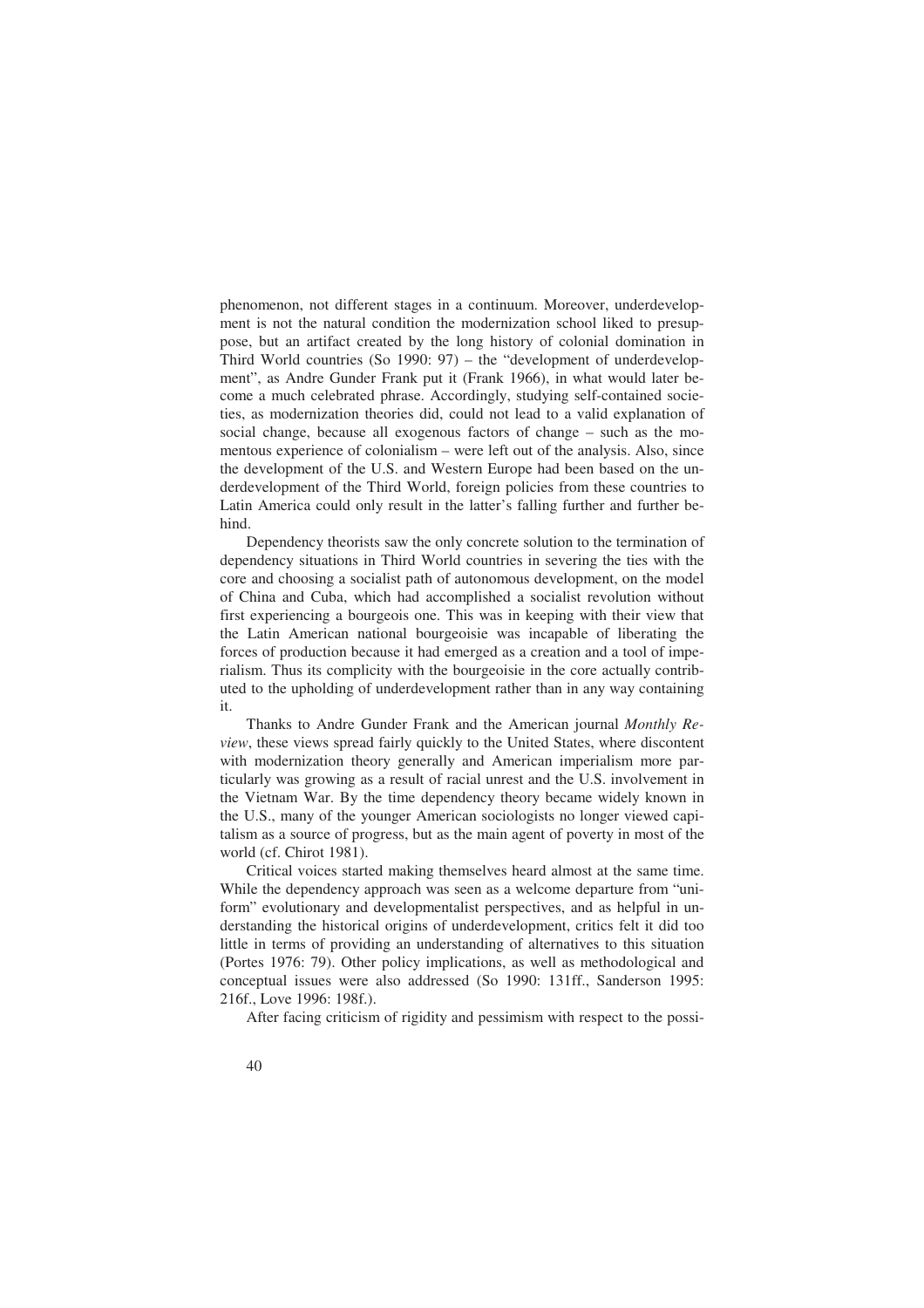phenomenon, not different stages in a continuum. Moreover, underdevelopment is not the natural condition the modernization school liked to presuppose, but an artifact created by the long history of colonial domination in Third World countries (So 1990: 97) – the "development of underdevelopment", as Andre Gunder Frank put it (Frank 1966), in what would later become a much celebrated phrase. Accordingly, studying self-contained societies, as modernization theories did, could not lead to a valid explanation of social change, because all exogenous factors of change – such as the momentous experience of colonialism – were left out of the analysis. Also, since the development of the U.S. and Western Europe had been based on the underdevelopment of the Third World, foreign policies from these countries to Latin America could only result in the latter's falling further and further behind.

Dependency theorists saw the only concrete solution to the termination of dependency situations in Third World countries in severing the ties with the core and choosing a socialist path of autonomous development, on the model of China and Cuba, which had accomplished a socialist revolution without first experiencing a bourgeois one. This was in keeping with their view that the Latin American national bourgeoisie was incapable of liberating the forces of production because it had emerged as a creation and a tool of imperialism. Thus its complicity with the bourgeoisie in the core actually contributed to the upholding of underdevelopment rather than in any way containing it.

Thanks to Andre Gunder Frank and the American journal *Monthly Review*, these views spread fairly quickly to the United States, where discontent with modernization theory generally and American imperialism more particularly was growing as a result of racial unrest and the U.S. involvement in the Vietnam War. By the time dependency theory became widely known in the U.S., many of the younger American sociologists no longer viewed capitalism as a source of progress, but as the main agent of poverty in most of the world (cf. Chirot 1981).

Critical voices started making themselves heard almost at the same time. While the dependency approach was seen as a welcome departure from "uniform" evolutionary and developmentalist perspectives, and as helpful in understanding the historical origins of underdevelopment, critics felt it did too little in terms of providing an understanding of alternatives to this situation (Portes 1976: 79). Other policy implications, as well as methodological and conceptual issues were also addressed (So 1990: 131ff., Sanderson 1995: 216f., Love 1996: 198f.).

After facing criticism of rigidity and pessimism with respect to the possi-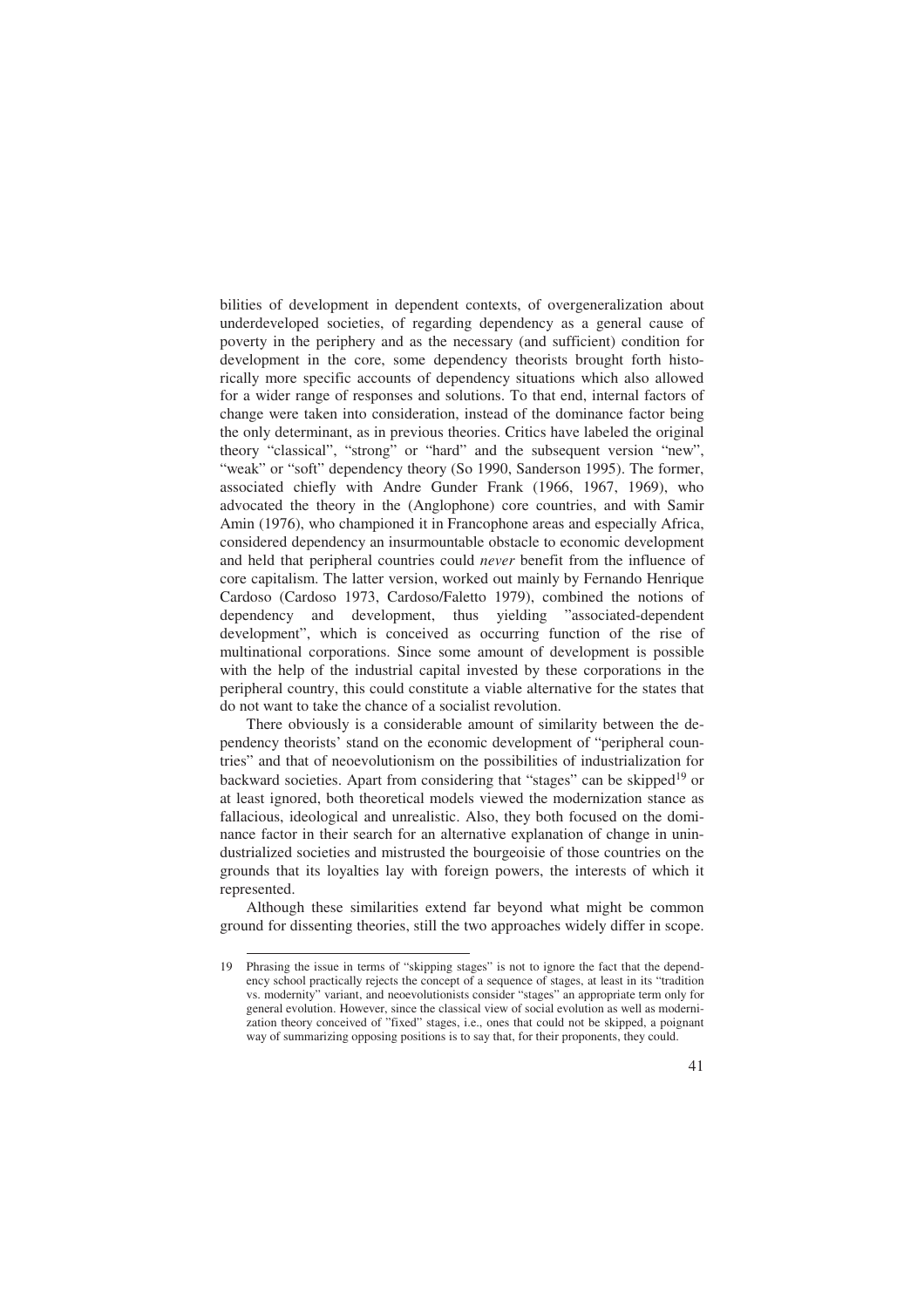bilities of development in dependent contexts, of overgeneralization about underdeveloped societies, of regarding dependency as a general cause of poverty in the periphery and as the necessary (and sufficient) condition for development in the core, some dependency theorists brought forth historically more specific accounts of dependency situations which also allowed for a wider range of responses and solutions. To that end, internal factors of change were taken into consideration, instead of the dominance factor being the only determinant, as in previous theories. Critics have labeled the original theory "classical", "strong" or "hard" and the subsequent version "new", "weak" or "soft" dependency theory (So 1990, Sanderson 1995). The former, associated chiefly with Andre Gunder Frank (1966, 1967, 1969), who advocated the theory in the (Anglophone) core countries, and with Samir Amin (1976), who championed it in Francophone areas and especially Africa, considered dependency an insurmountable obstacle to economic development and held that peripheral countries could *never* benefit from the influence of core capitalism. The latter version, worked out mainly by Fernando Henrique Cardoso (Cardoso 1973, Cardoso/Faletto 1979), combined the notions of dependency and development, thus yielding "associated-dependent development", which is conceived as occurring function of the rise of multinational corporations. Since some amount of development is possible with the help of the industrial capital invested by these corporations in the peripheral country, this could constitute a viable alternative for the states that do not want to take the chance of a socialist revolution.

There obviously is a considerable amount of similarity between the dependency theorists' stand on the economic development of "peripheral countries" and that of neoevolutionism on the possibilities of industrialization for backward societies. Apart from considering that "stages" can be skipped<sup>19</sup> or at least ignored, both theoretical models viewed the modernization stance as fallacious, ideological and unrealistic. Also, they both focused on the dominance factor in their search for an alternative explanation of change in unindustrialized societies and mistrusted the bourgeoisie of those countries on the grounds that its loyalties lay with foreign powers, the interests of which it represented.

Although these similarities extend far beyond what might be common ground for dissenting theories, still the two approaches widely differ in scope.

<sup>19</sup> Phrasing the issue in terms of "skipping stages" is not to ignore the fact that the dependency school practically rejects the concept of a sequence of stages, at least in its "tradition vs. modernity" variant, and neoevolutionists consider "stages" an appropriate term only for general evolution. However, since the classical view of social evolution as well as modernization theory conceived of "fixed" stages, i.e., ones that could not be skipped, a poignant way of summarizing opposing positions is to say that, for their proponents, they could.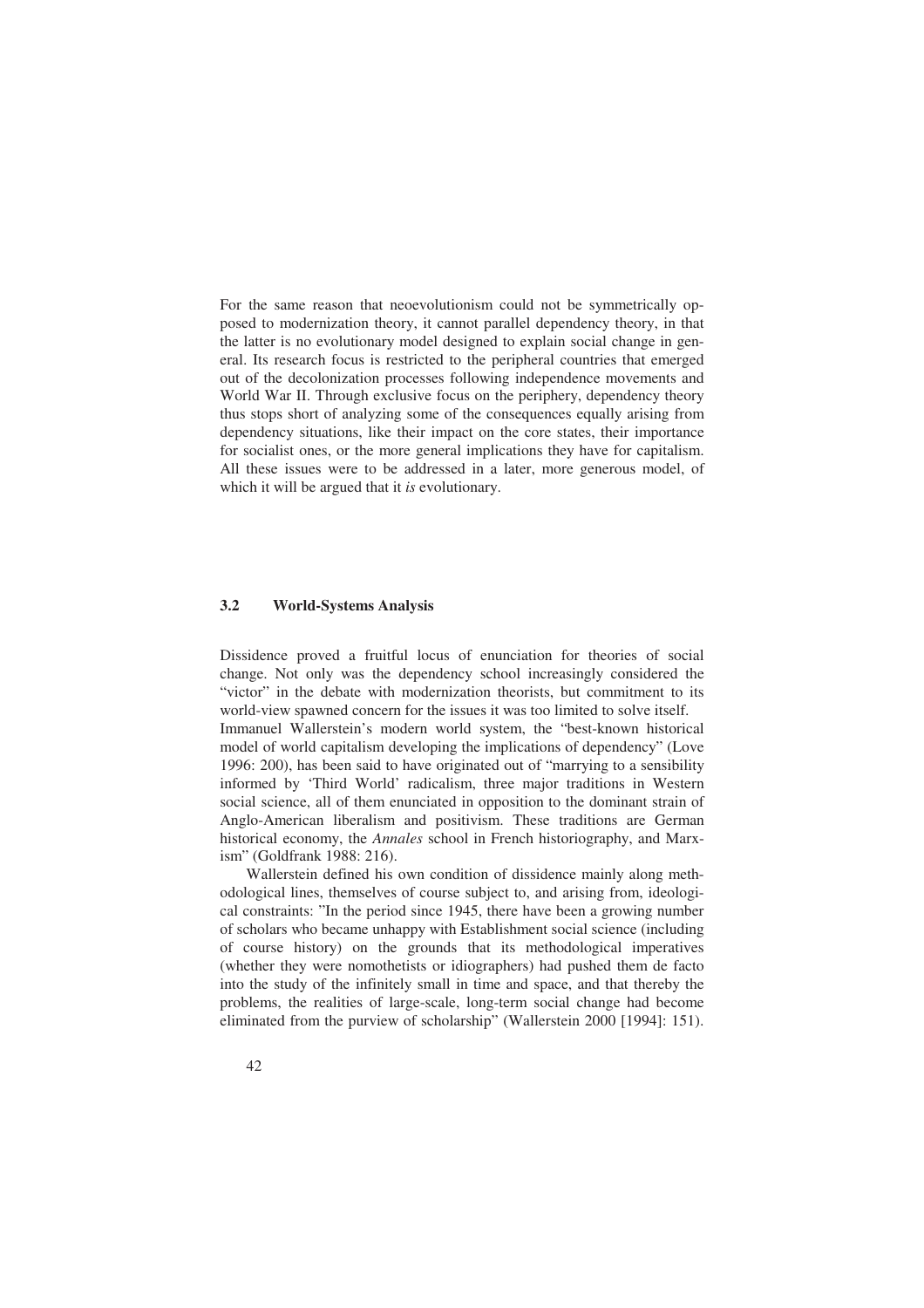For the same reason that neoevolutionism could not be symmetrically opposed to modernization theory, it cannot parallel dependency theory, in that the latter is no evolutionary model designed to explain social change in general. Its research focus is restricted to the peripheral countries that emerged out of the decolonization processes following independence movements and World War II. Through exclusive focus on the periphery, dependency theory thus stops short of analyzing some of the consequences equally arising from dependency situations, like their impact on the core states, their importance for socialist ones, or the more general implications they have for capitalism. All these issues were to be addressed in a later, more generous model, of which it will be argued that it *is* evolutionary.

#### **3.2 World-Systems Analysis**

Dissidence proved a fruitful locus of enunciation for theories of social change. Not only was the dependency school increasingly considered the "victor" in the debate with modernization theorists, but commitment to its world-view spawned concern for the issues it was too limited to solve itself. Immanuel Wallerstein's modern world system, the "best-known historical model of world capitalism developing the implications of dependency" (Love 1996: 200), has been said to have originated out of "marrying to a sensibility informed by 'Third World' radicalism, three major traditions in Western social science, all of them enunciated in opposition to the dominant strain of Anglo-American liberalism and positivism. These traditions are German historical economy, the *Annales* school in French historiography, and Marxism" (Goldfrank 1988: 216).

Wallerstein defined his own condition of dissidence mainly along methodological lines, themselves of course subject to, and arising from, ideological constraints: "In the period since 1945, there have been a growing number of scholars who became unhappy with Establishment social science (including of course history) on the grounds that its methodological imperatives (whether they were nomothetists or idiographers) had pushed them de facto into the study of the infinitely small in time and space, and that thereby the problems, the realities of large-scale, long-term social change had become eliminated from the purview of scholarship" (Wallerstein 2000 [1994]: 151).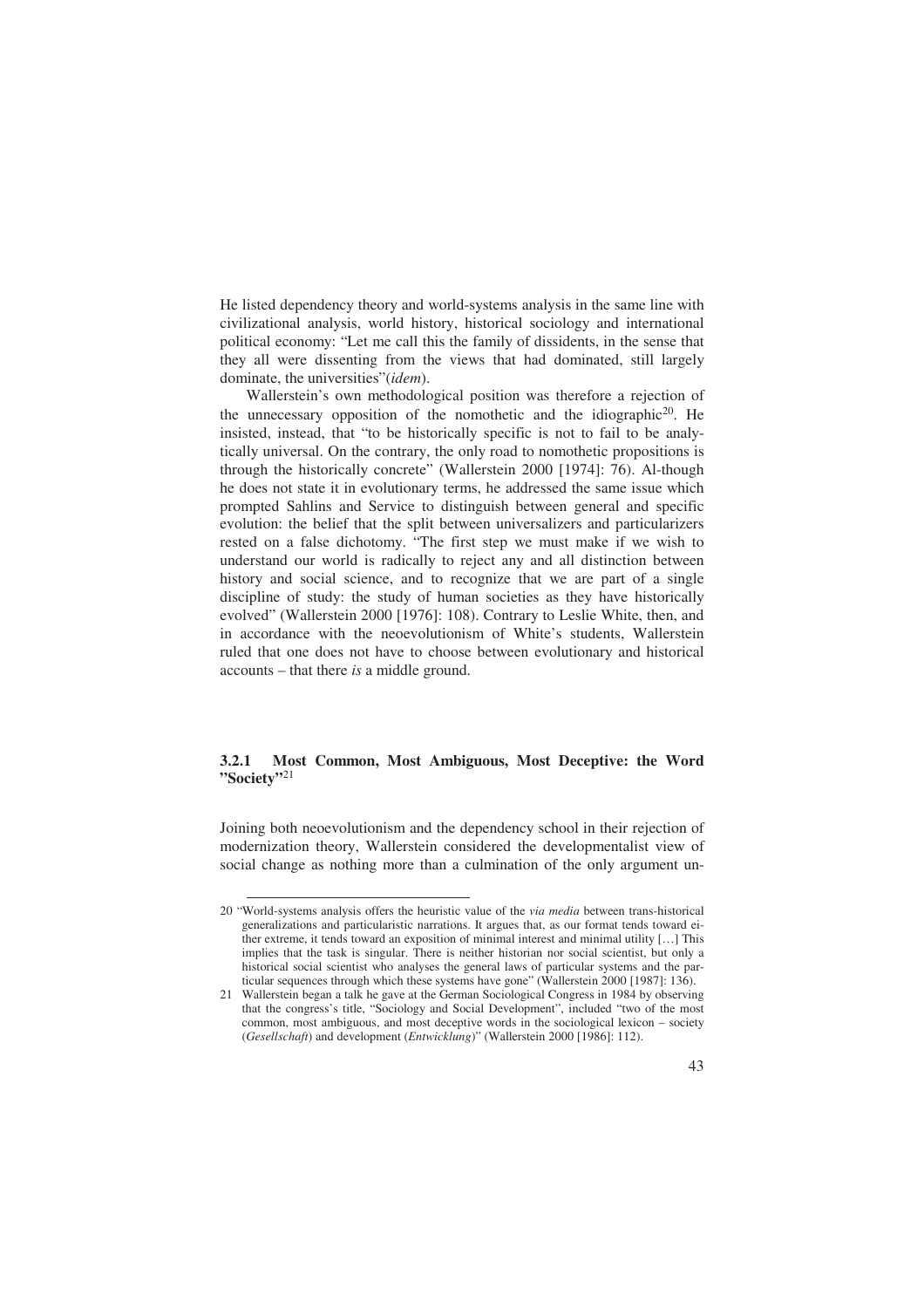He listed dependency theory and world-systems analysis in the same line with civilizational analysis, world history, historical sociology and international political economy: "Let me call this the family of dissidents, in the sense that they all were dissenting from the views that had dominated, still largely dominate, the universities"(*idem*).

 Wallerstein's own methodological position was therefore a rejection of the unnecessary opposition of the nomothetic and the idiographic20. He insisted, instead, that "to be historically specific is not to fail to be analytically universal. On the contrary, the only road to nomothetic propositions is through the historically concrete" (Wallerstein 2000 [1974]: 76). Al-though he does not state it in evolutionary terms, he addressed the same issue which prompted Sahlins and Service to distinguish between general and specific evolution: the belief that the split between universalizers and particularizers rested on a false dichotomy. "The first step we must make if we wish to understand our world is radically to reject any and all distinction between history and social science, and to recognize that we are part of a single discipline of study: the study of human societies as they have historically evolved" (Wallerstein 2000 [1976]: 108). Contrary to Leslie White, then, and in accordance with the neoevolutionism of White's students, Wallerstein ruled that one does not have to choose between evolutionary and historical accounts – that there *is* a middle ground.

#### **3.2.1 Most Common, Most Ambiguous, Most Deceptive: the Word "Society"**<sup>21</sup>

Joining both neoevolutionism and the dependency school in their rejection of modernization theory, Wallerstein considered the developmentalist view of social change as nothing more than a culmination of the only argument un-

<sup>20 &</sup>quot;World-systems analysis offers the heuristic value of the *via media* between trans-historical generalizations and particularistic narrations. It argues that, as our format tends toward either extreme, it tends toward an exposition of minimal interest and minimal utility […] This implies that the task is singular. There is neither historian nor social scientist, but only a historical social scientist who analyses the general laws of particular systems and the particular sequences through which these systems have gone" (Wallerstein 2000 [1987]: 136).

<sup>21</sup> Wallerstein began a talk he gave at the German Sociological Congress in 1984 by observing that the congress's title, "Sociology and Social Development", included "two of the most common, most ambiguous, and most deceptive words in the sociological lexicon – society (*Gesellschaft*) and development (*Entwicklung*)" (Wallerstein 2000 [1986]: 112).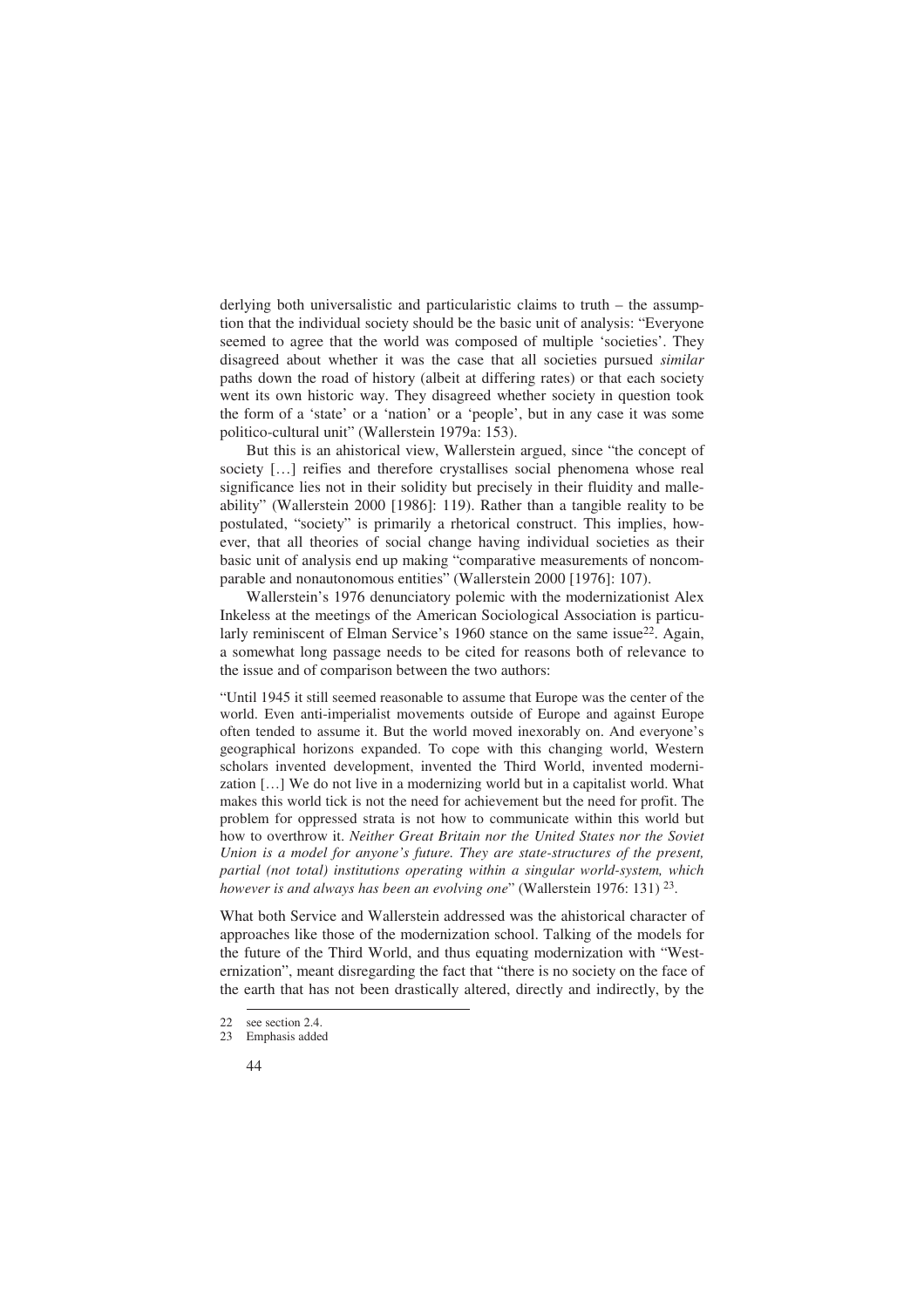derlying both universalistic and particularistic claims to truth – the assumption that the individual society should be the basic unit of analysis: "Everyone seemed to agree that the world was composed of multiple 'societies'. They disagreed about whether it was the case that all societies pursued *similar* paths down the road of history (albeit at differing rates) or that each society went its own historic way. They disagreed whether society in question took the form of a 'state' or a 'nation' or a 'people', but in any case it was some politico-cultural unit" (Wallerstein 1979a: 153).

But this is an ahistorical view, Wallerstein argued, since "the concept of society […] reifies and therefore crystallises social phenomena whose real significance lies not in their solidity but precisely in their fluidity and malleability" (Wallerstein 2000 [1986]: 119). Rather than a tangible reality to be postulated, "society" is primarily a rhetorical construct. This implies, however, that all theories of social change having individual societies as their basic unit of analysis end up making "comparative measurements of noncomparable and nonautonomous entities" (Wallerstein 2000 [1976]: 107).

Wallerstein's 1976 denunciatory polemic with the modernizationist Alex Inkeless at the meetings of the American Sociological Association is particularly reminiscent of Elman Service's 1960 stance on the same issue<sup>22</sup>. Again, a somewhat long passage needs to be cited for reasons both of relevance to the issue and of comparison between the two authors:

"Until 1945 it still seemed reasonable to assume that Europe was the center of the world. Even anti-imperialist movements outside of Europe and against Europe often tended to assume it. But the world moved inexorably on. And everyone's geographical horizons expanded. To cope with this changing world, Western scholars invented development, invented the Third World, invented modernization […] We do not live in a modernizing world but in a capitalist world. What makes this world tick is not the need for achievement but the need for profit. The problem for oppressed strata is not how to communicate within this world but how to overthrow it. *Neither Great Britain nor the United States nor the Soviet Union is a model for anyone's future. They are state-structures of the present, partial (not total) institutions operating within a singular world-system, which however is and always has been an evolving one*" (Wallerstein 1976: 131) <sup>23</sup>.

What both Service and Wallerstein addressed was the ahistorical character of approaches like those of the modernization school. Talking of the models for the future of the Third World, and thus equating modernization with "Westernization", meant disregarding the fact that "there is no society on the face of the earth that has not been drastically altered, directly and indirectly, by the

<sup>22</sup> see section 2.4.

<sup>23</sup> Emphasis added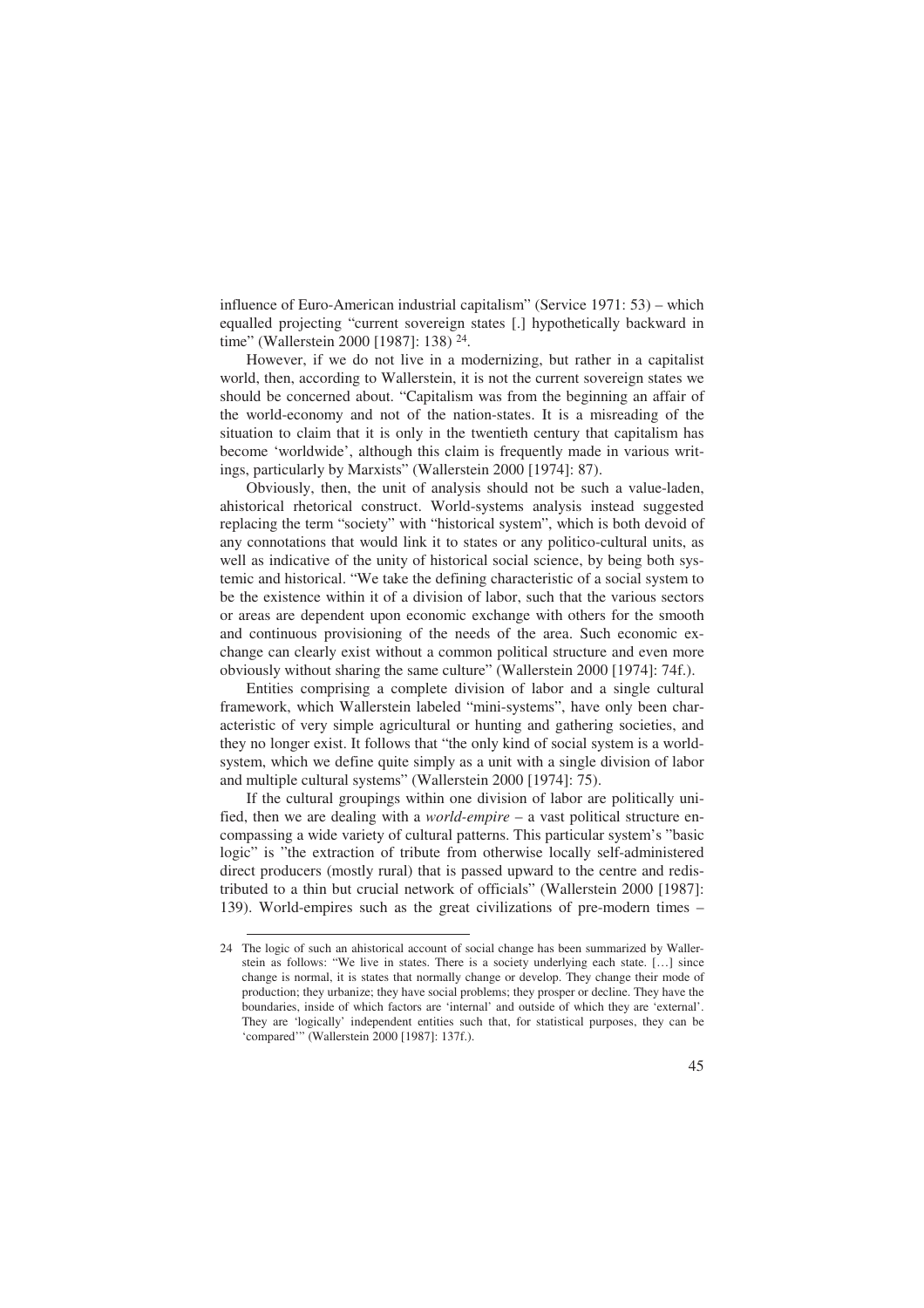influence of Euro-American industrial capitalism" (Service 1971: 53) – which equalled projecting "current sovereign states [.] hypothetically backward in time" (Wallerstein 2000 [1987]: 138) <sup>24</sup>.

However, if we do not live in a modernizing, but rather in a capitalist world, then, according to Wallerstein, it is not the current sovereign states we should be concerned about. "Capitalism was from the beginning an affair of the world-economy and not of the nation-states. It is a misreading of the situation to claim that it is only in the twentieth century that capitalism has become 'worldwide', although this claim is frequently made in various writings, particularly by Marxists" (Wallerstein 2000 [1974]: 87).

Obviously, then, the unit of analysis should not be such a value-laden, ahistorical rhetorical construct. World-systems analysis instead suggested replacing the term "society" with "historical system", which is both devoid of any connotations that would link it to states or any politico-cultural units, as well as indicative of the unity of historical social science, by being both systemic and historical. "We take the defining characteristic of a social system to be the existence within it of a division of labor, such that the various sectors or areas are dependent upon economic exchange with others for the smooth and continuous provisioning of the needs of the area. Such economic exchange can clearly exist without a common political structure and even more obviously without sharing the same culture" (Wallerstein 2000 [1974]: 74f.).

Entities comprising a complete division of labor and a single cultural framework, which Wallerstein labeled "mini-systems", have only been characteristic of very simple agricultural or hunting and gathering societies, and they no longer exist. It follows that "the only kind of social system is a worldsystem, which we define quite simply as a unit with a single division of labor and multiple cultural systems" (Wallerstein 2000 [1974]: 75).

If the cultural groupings within one division of labor are politically unified, then we are dealing with a *world-empire* – a vast political structure encompassing a wide variety of cultural patterns. This particular system's "basic logic" is "the extraction of tribute from otherwise locally self-administered direct producers (mostly rural) that is passed upward to the centre and redistributed to a thin but crucial network of officials" (Wallerstein 2000 [1987]: 139). World-empires such as the great civilizations of pre-modern times –

<sup>24</sup> The logic of such an ahistorical account of social change has been summarized by Wallerstein as follows: "We live in states. There is a society underlying each state. […] since change is normal, it is states that normally change or develop. They change their mode of production; they urbanize; they have social problems; they prosper or decline. They have the boundaries, inside of which factors are 'internal' and outside of which they are 'external'. They are 'logically' independent entities such that, for statistical purposes, they can be 'compared'" (Wallerstein 2000 [1987]: 137f.).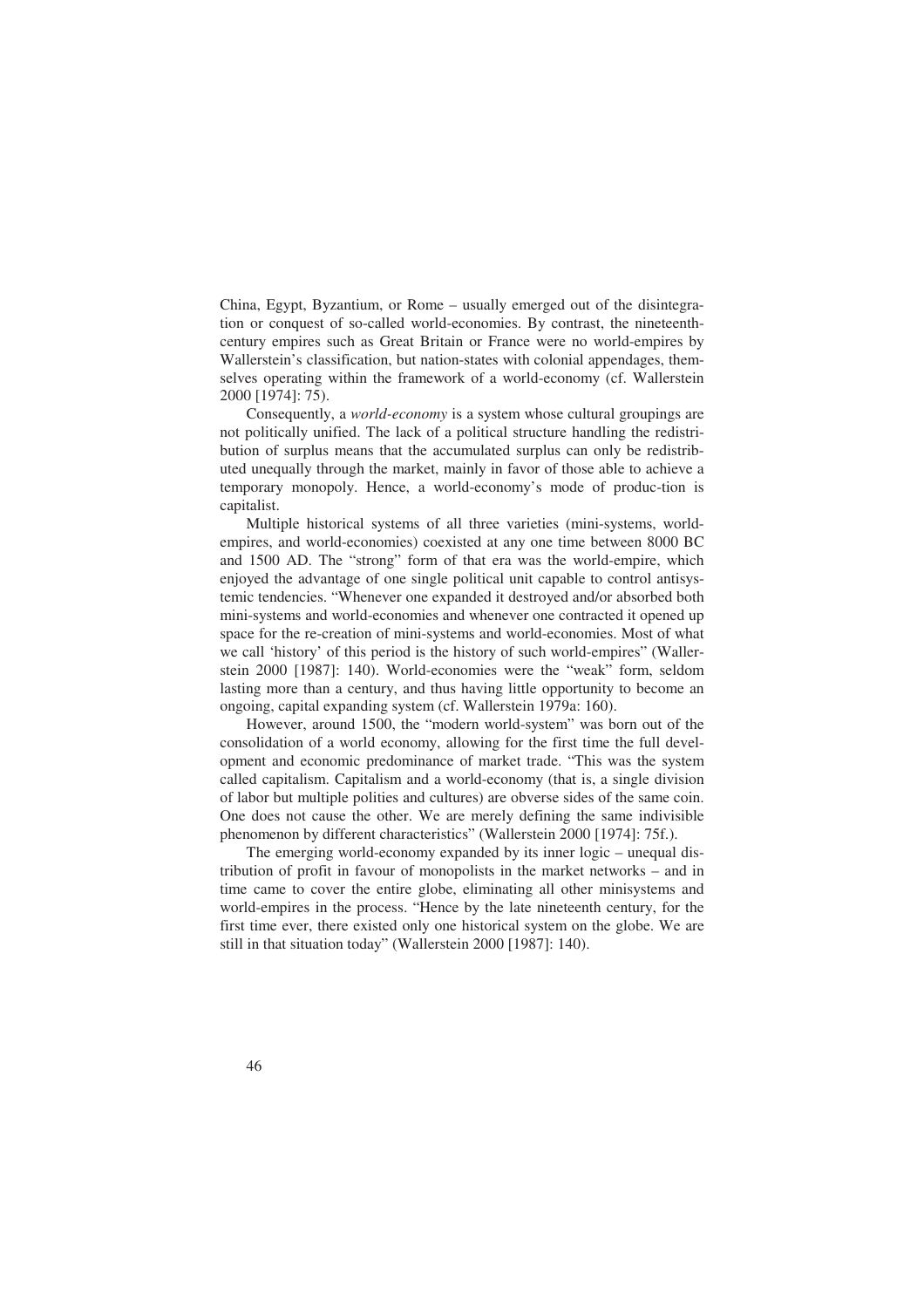China, Egypt, Byzantium, or Rome – usually emerged out of the disintegration or conquest of so-called world-economies. By contrast, the nineteenthcentury empires such as Great Britain or France were no world-empires by Wallerstein's classification, but nation-states with colonial appendages, themselves operating within the framework of a world-economy (cf. Wallerstein 2000 [1974]: 75).

Consequently, a *world-economy* is a system whose cultural groupings are not politically unified. The lack of a political structure handling the redistribution of surplus means that the accumulated surplus can only be redistributed unequally through the market, mainly in favor of those able to achieve a temporary monopoly. Hence, a world-economy's mode of produc-tion is capitalist.

Multiple historical systems of all three varieties (mini-systems, worldempires, and world-economies) coexisted at any one time between 8000 BC and 1500 AD. The "strong" form of that era was the world-empire, which enjoyed the advantage of one single political unit capable to control antisystemic tendencies. "Whenever one expanded it destroyed and/or absorbed both mini-systems and world-economies and whenever one contracted it opened up space for the re-creation of mini-systems and world-economies. Most of what we call 'history' of this period is the history of such world-empires" (Wallerstein 2000 [1987]: 140). World-economies were the "weak" form, seldom lasting more than a century, and thus having little opportunity to become an ongoing, capital expanding system (cf. Wallerstein 1979a: 160).

However, around 1500, the "modern world-system" was born out of the consolidation of a world economy, allowing for the first time the full development and economic predominance of market trade. "This was the system called capitalism. Capitalism and a world-economy (that is, a single division of labor but multiple polities and cultures) are obverse sides of the same coin. One does not cause the other. We are merely defining the same indivisible phenomenon by different characteristics" (Wallerstein 2000 [1974]: 75f.).

The emerging world-economy expanded by its inner logic – unequal distribution of profit in favour of monopolists in the market networks – and in time came to cover the entire globe, eliminating all other minisystems and world-empires in the process. "Hence by the late nineteenth century, for the first time ever, there existed only one historical system on the globe. We are still in that situation today" (Wallerstein 2000 [1987]: 140).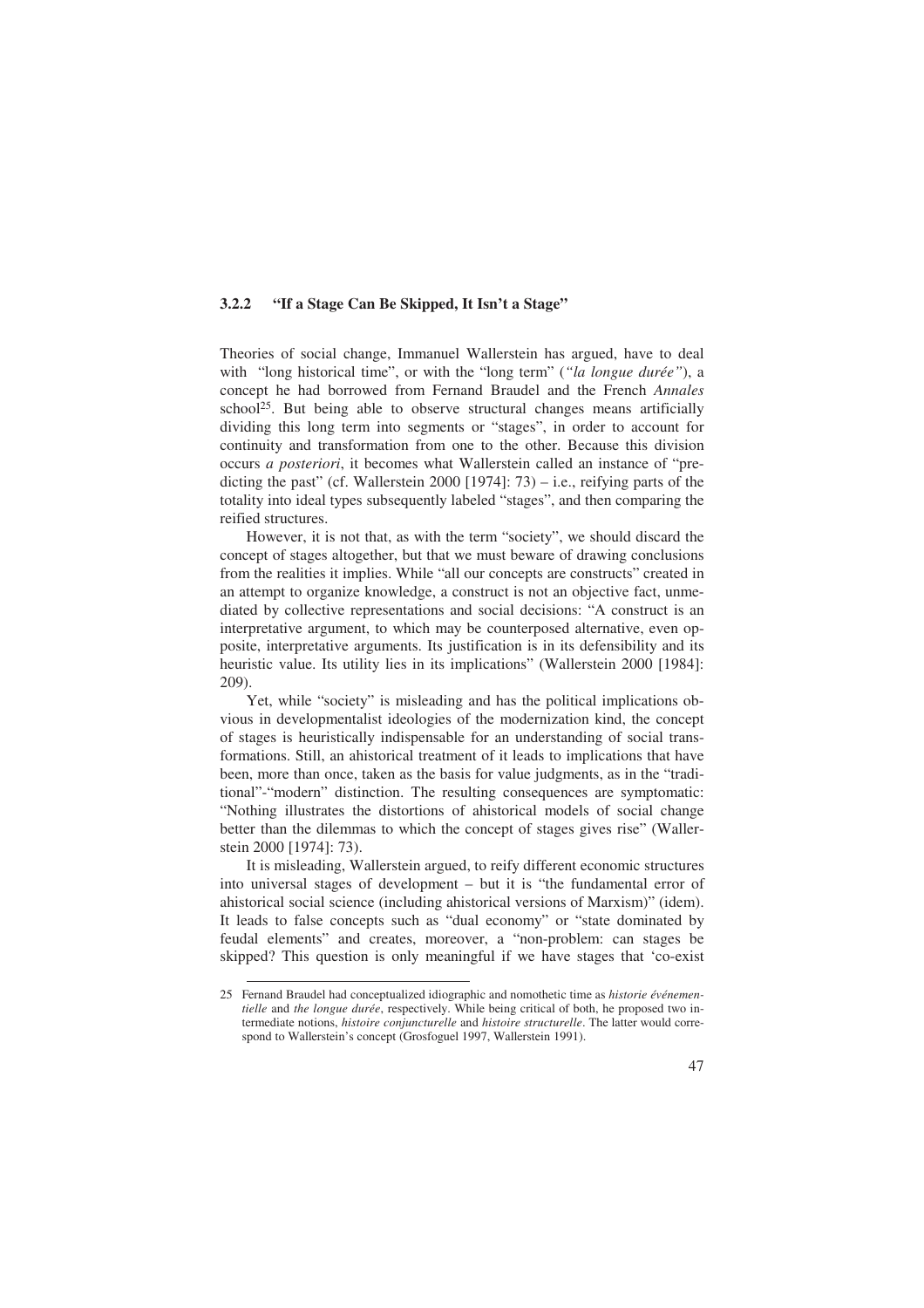#### **3.2.2 "If a Stage Can Be Skipped, It Isn't a Stage"**

Theories of social change, Immanuel Wallerstein has argued, have to deal with "long historical time", or with the "long term" (*"la longue durée"*), a concept he had borrowed from Fernand Braudel and the French *Annales*  school<sup>25</sup>. But being able to observe structural changes means artificially dividing this long term into segments or "stages", in order to account for continuity and transformation from one to the other. Because this division occurs *a posteriori*, it becomes what Wallerstein called an instance of "predicting the past" (cf. Wallerstein 2000 [1974]:  $73$ ) – i.e., reifying parts of the totality into ideal types subsequently labeled "stages", and then comparing the reified structures.

However, it is not that, as with the term "society", we should discard the concept of stages altogether, but that we must beware of drawing conclusions from the realities it implies. While "all our concepts are constructs" created in an attempt to organize knowledge, a construct is not an objective fact, unmediated by collective representations and social decisions: "A construct is an interpretative argument, to which may be counterposed alternative, even opposite, interpretative arguments. Its justification is in its defensibility and its heuristic value. Its utility lies in its implications" (Wallerstein 2000 [1984]: 209).

Yet, while "society" is misleading and has the political implications obvious in developmentalist ideologies of the modernization kind, the concept of stages is heuristically indispensable for an understanding of social transformations. Still, an ahistorical treatment of it leads to implications that have been, more than once, taken as the basis for value judgments, as in the "traditional"-"modern" distinction. The resulting consequences are symptomatic: "Nothing illustrates the distortions of ahistorical models of social change better than the dilemmas to which the concept of stages gives rise" (Wallerstein 2000 [1974]: 73).

It is misleading, Wallerstein argued, to reify different economic structures into universal stages of development – but it is "the fundamental error of ahistorical social science (including ahistorical versions of Marxism)" (idem). It leads to false concepts such as "dual economy" or "state dominated by feudal elements" and creates, moreover, a "non-problem: can stages be skipped? This question is only meaningful if we have stages that 'co-exist

<sup>25</sup> Fernand Braudel had conceptualized idiographic and nomothetic time as *historie événementielle* and *the longue durée*, respectively. While being critical of both, he proposed two intermediate notions, *histoire conjuncturelle* and *histoire structurelle*. The latter would correspond to Wallerstein's concept (Grosfoguel 1997, Wallerstein 1991).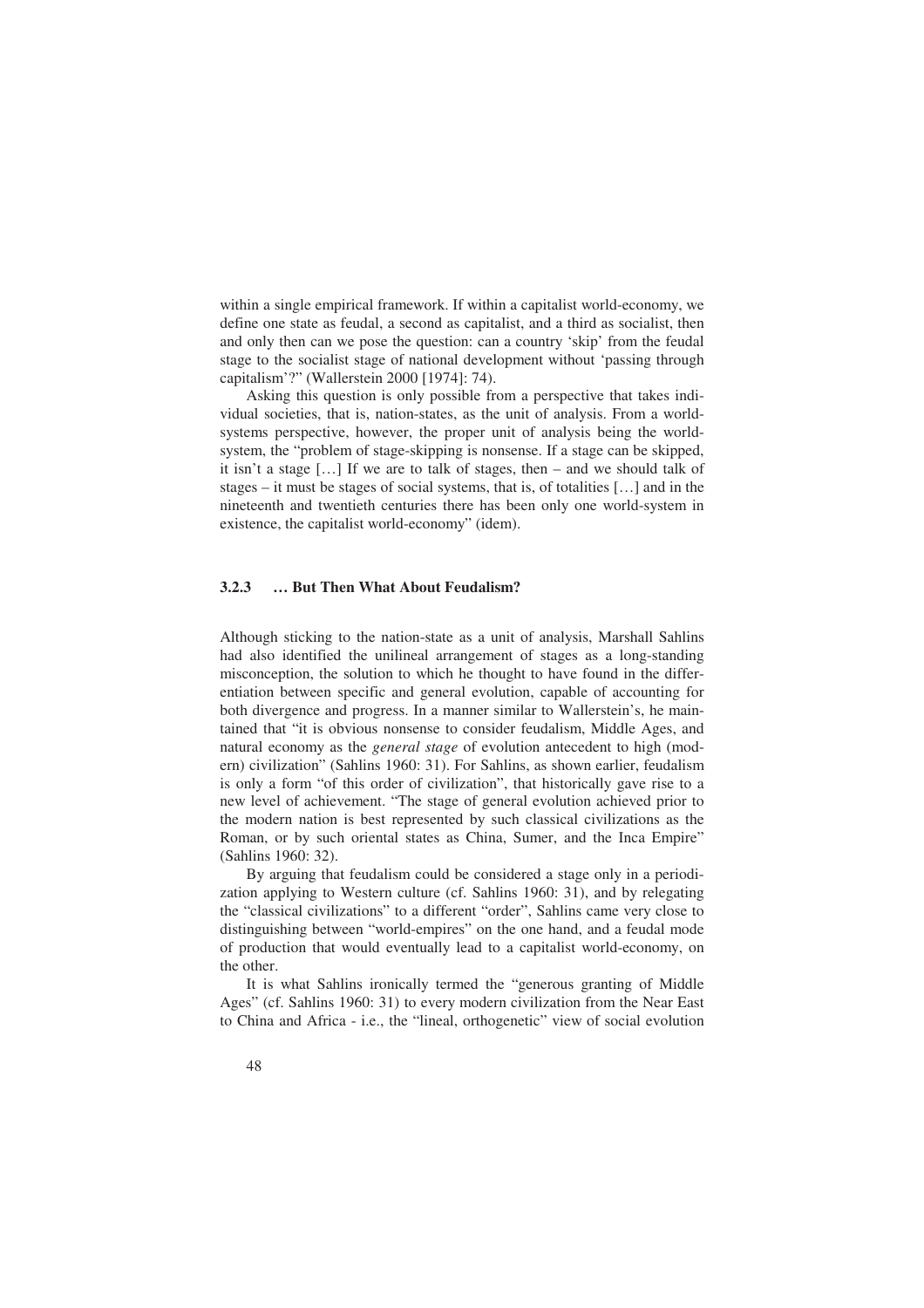within a single empirical framework. If within a capitalist world-economy, we define one state as feudal, a second as capitalist, and a third as socialist, then and only then can we pose the question: can a country 'skip' from the feudal stage to the socialist stage of national development without 'passing through capitalism'?" (Wallerstein 2000 [1974]: 74).

Asking this question is only possible from a perspective that takes individual societies, that is, nation-states, as the unit of analysis. From a worldsystems perspective, however, the proper unit of analysis being the worldsystem, the "problem of stage-skipping is nonsense. If a stage can be skipped, it isn't a stage […] If we are to talk of stages, then – and we should talk of stages – it must be stages of social systems, that is, of totalities […] and in the nineteenth and twentieth centuries there has been only one world-system in existence, the capitalist world-economy" (idem).

#### **3.2.3 … But Then What About Feudalism?**

Although sticking to the nation-state as a unit of analysis, Marshall Sahlins had also identified the unilineal arrangement of stages as a long-standing misconception, the solution to which he thought to have found in the differentiation between specific and general evolution, capable of accounting for both divergence and progress. In a manner similar to Wallerstein's, he maintained that "it is obvious nonsense to consider feudalism, Middle Ages, and natural economy as the *general stage* of evolution antecedent to high (modern) civilization" (Sahlins 1960: 31). For Sahlins, as shown earlier, feudalism is only a form "of this order of civilization", that historically gave rise to a new level of achievement. "The stage of general evolution achieved prior to the modern nation is best represented by such classical civilizations as the Roman, or by such oriental states as China, Sumer, and the Inca Empire" (Sahlins 1960: 32).

By arguing that feudalism could be considered a stage only in a periodization applying to Western culture (cf. Sahlins 1960: 31), and by relegating the "classical civilizations" to a different "order", Sahlins came very close to distinguishing between "world-empires" on the one hand, and a feudal mode of production that would eventually lead to a capitalist world-economy, on the other.

It is what Sahlins ironically termed the "generous granting of Middle Ages" (cf. Sahlins 1960: 31) to every modern civilization from the Near East to China and Africa - i.e., the "lineal, orthogenetic" view of social evolution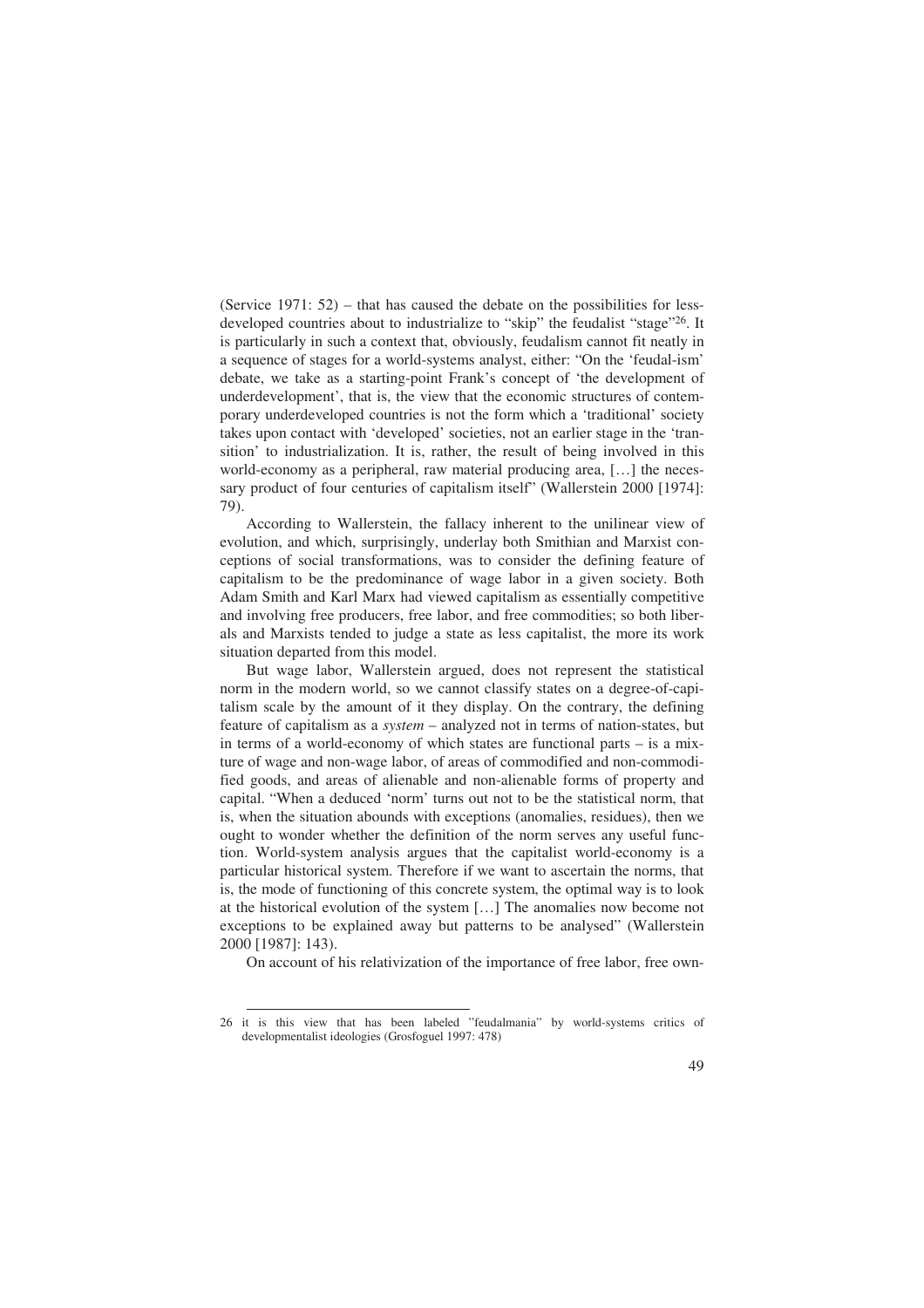(Service 1971: 52) – that has caused the debate on the possibilities for lessdeveloped countries about to industrialize to "skip" the feudalist "stage"26. It is particularly in such a context that, obviously, feudalism cannot fit neatly in a sequence of stages for a world-systems analyst, either: "On the 'feudal-ism' debate, we take as a starting-point Frank's concept of 'the development of underdevelopment', that is, the view that the economic structures of contemporary underdeveloped countries is not the form which a 'traditional' society takes upon contact with 'developed' societies, not an earlier stage in the 'transition' to industrialization. It is, rather, the result of being involved in this world-economy as a peripheral, raw material producing area, […] the necessary product of four centuries of capitalism itself" (Wallerstein 2000 [1974]: 79).

According to Wallerstein, the fallacy inherent to the unilinear view of evolution, and which, surprisingly, underlay both Smithian and Marxist conceptions of social transformations, was to consider the defining feature of capitalism to be the predominance of wage labor in a given society. Both Adam Smith and Karl Marx had viewed capitalism as essentially competitive and involving free producers, free labor, and free commodities; so both liberals and Marxists tended to judge a state as less capitalist, the more its work situation departed from this model.

But wage labor, Wallerstein argued, does not represent the statistical norm in the modern world, so we cannot classify states on a degree-of-capitalism scale by the amount of it they display. On the contrary, the defining feature of capitalism as a *system* – analyzed not in terms of nation-states, but in terms of a world-economy of which states are functional parts – is a mixture of wage and non-wage labor, of areas of commodified and non-commodified goods, and areas of alienable and non-alienable forms of property and capital. "When a deduced 'norm' turns out not to be the statistical norm, that is, when the situation abounds with exceptions (anomalies, residues), then we ought to wonder whether the definition of the norm serves any useful function. World-system analysis argues that the capitalist world-economy is a particular historical system. Therefore if we want to ascertain the norms, that is, the mode of functioning of this concrete system, the optimal way is to look at the historical evolution of the system […] The anomalies now become not exceptions to be explained away but patterns to be analysed" (Wallerstein 2000 [1987]: 143).

On account of his relativization of the importance of free labor, free own-

<sup>26</sup> it is this view that has been labeled "feudalmania" by world-systems critics of developmentalist ideologies (Grosfoguel 1997: 478)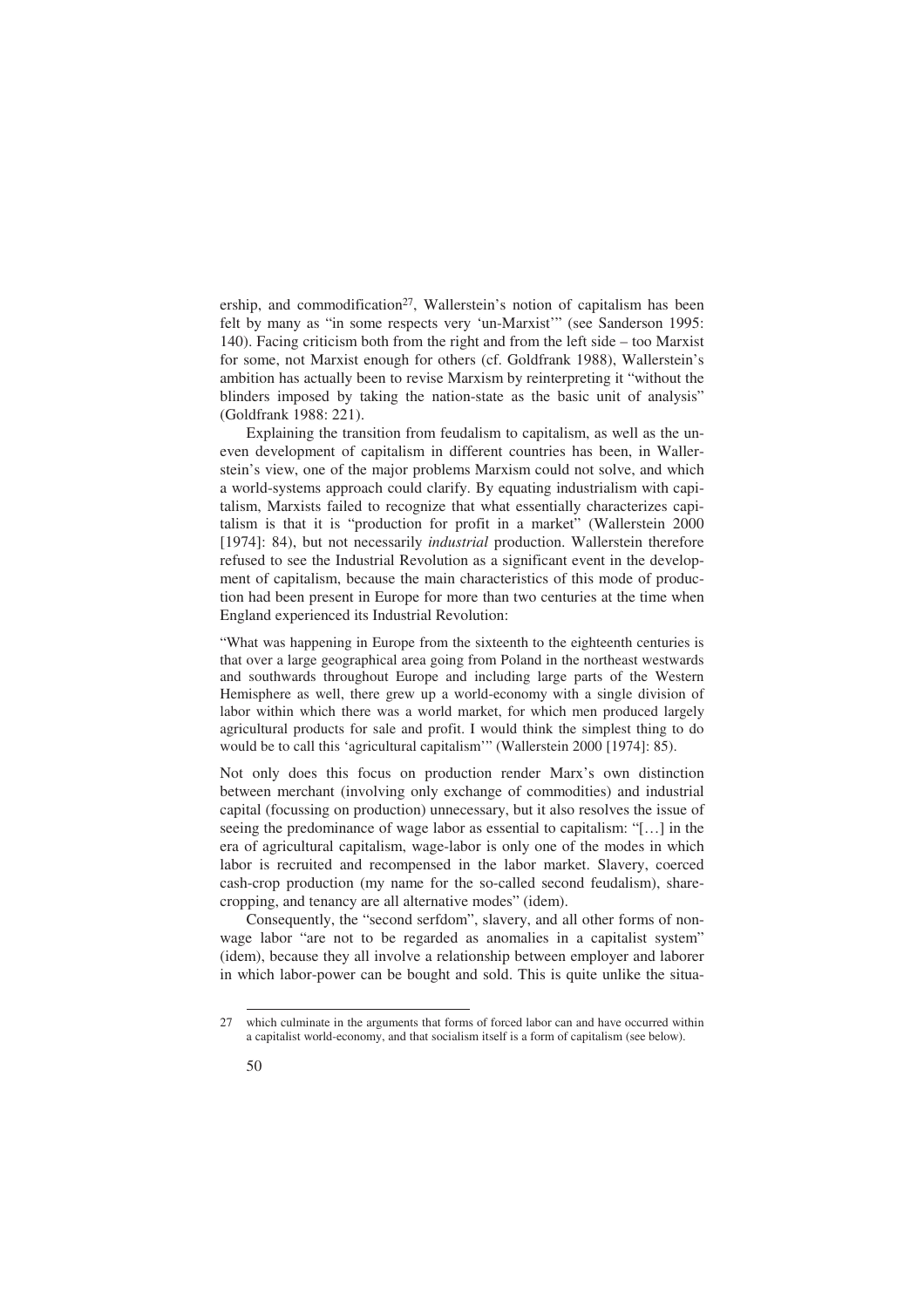ership, and commodification<sup>27</sup>, Wallerstein's notion of capitalism has been felt by many as "in some respects very 'un-Marxist'" (see Sanderson 1995: 140). Facing criticism both from the right and from the left side – too Marxist for some, not Marxist enough for others (cf. Goldfrank 1988), Wallerstein's ambition has actually been to revise Marxism by reinterpreting it "without the blinders imposed by taking the nation-state as the basic unit of analysis" (Goldfrank 1988: 221).

Explaining the transition from feudalism to capitalism, as well as the uneven development of capitalism in different countries has been, in Wallerstein's view, one of the major problems Marxism could not solve, and which a world-systems approach could clarify. By equating industrialism with capitalism, Marxists failed to recognize that what essentially characterizes capitalism is that it is "production for profit in a market" (Wallerstein 2000 [1974]: 84), but not necessarily *industrial* production. Wallerstein therefore refused to see the Industrial Revolution as a significant event in the development of capitalism, because the main characteristics of this mode of production had been present in Europe for more than two centuries at the time when England experienced its Industrial Revolution:

"What was happening in Europe from the sixteenth to the eighteenth centuries is that over a large geographical area going from Poland in the northeast westwards and southwards throughout Europe and including large parts of the Western Hemisphere as well, there grew up a world-economy with a single division of labor within which there was a world market, for which men produced largely agricultural products for sale and profit. I would think the simplest thing to do would be to call this 'agricultural capitalism'" (Wallerstein 2000 [1974]: 85).

Not only does this focus on production render Marx's own distinction between merchant (involving only exchange of commodities) and industrial capital (focussing on production) unnecessary, but it also resolves the issue of seeing the predominance of wage labor as essential to capitalism: "[…] in the era of agricultural capitalism, wage-labor is only one of the modes in which labor is recruited and recompensed in the labor market. Slavery, coerced cash-crop production (my name for the so-called second feudalism), sharecropping, and tenancy are all alternative modes" (idem).

Consequently, the "second serfdom", slavery, and all other forms of nonwage labor "are not to be regarded as anomalies in a capitalist system" (idem), because they all involve a relationship between employer and laborer in which labor-power can be bought and sold. This is quite unlike the situa-

<sup>27</sup> which culminate in the arguments that forms of forced labor can and have occurred within a capitalist world-economy, and that socialism itself is a form of capitalism (see below).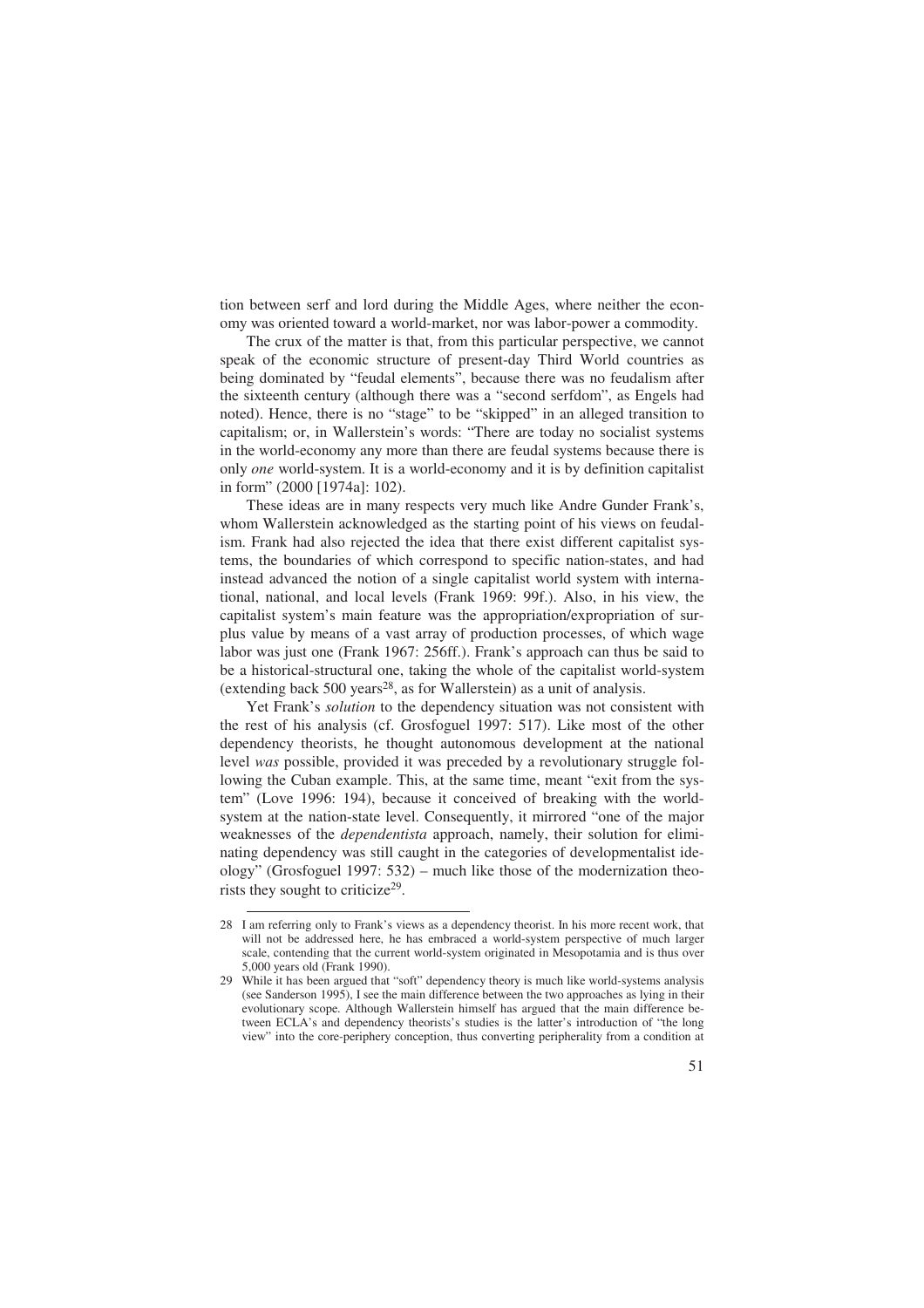tion between serf and lord during the Middle Ages, where neither the economy was oriented toward a world-market, nor was labor-power a commodity.

The crux of the matter is that, from this particular perspective, we cannot speak of the economic structure of present-day Third World countries as being dominated by "feudal elements", because there was no feudalism after the sixteenth century (although there was a "second serfdom", as Engels had noted). Hence, there is no "stage" to be "skipped" in an alleged transition to capitalism; or, in Wallerstein's words: "There are today no socialist systems in the world-economy any more than there are feudal systems because there is only *one* world-system. It is a world-economy and it is by definition capitalist in form" (2000 [1974a]: 102).

These ideas are in many respects very much like Andre Gunder Frank's, whom Wallerstein acknowledged as the starting point of his views on feudalism. Frank had also rejected the idea that there exist different capitalist systems, the boundaries of which correspond to specific nation-states, and had instead advanced the notion of a single capitalist world system with international, national, and local levels (Frank 1969: 99f.). Also, in his view, the capitalist system's main feature was the appropriation/expropriation of surplus value by means of a vast array of production processes, of which wage labor was just one (Frank 1967: 256ff.). Frank's approach can thus be said to be a historical-structural one, taking the whole of the capitalist world-system (extending back  $500$  years<sup>28</sup>, as for Wallerstein) as a unit of analysis.

Yet Frank's *solution* to the dependency situation was not consistent with the rest of his analysis (cf. Grosfoguel 1997: 517). Like most of the other dependency theorists, he thought autonomous development at the national level *was* possible, provided it was preceded by a revolutionary struggle following the Cuban example. This, at the same time, meant "exit from the system" (Love 1996: 194), because it conceived of breaking with the worldsystem at the nation-state level. Consequently, it mirrored "one of the major weaknesses of the *dependentista* approach, namely, their solution for eliminating dependency was still caught in the categories of developmentalist ideology" (Grosfoguel 1997: 532) – much like those of the modernization theorists they sought to criticize<sup>29</sup>.

<sup>28</sup> I am referring only to Frank's views as a dependency theorist. In his more recent work, that will not be addressed here, he has embraced a world-system perspective of much larger scale, contending that the current world-system originated in Mesopotamia and is thus over 5,000 years old (Frank 1990).

<sup>29</sup> While it has been argued that "soft" dependency theory is much like world-systems analysis (see Sanderson 1995), I see the main difference between the two approaches as lying in their evolutionary scope. Although Wallerstein himself has argued that the main difference between ECLA's and dependency theorists's studies is the latter's introduction of "the long view" into the core-periphery conception, thus converting peripherality from a condition at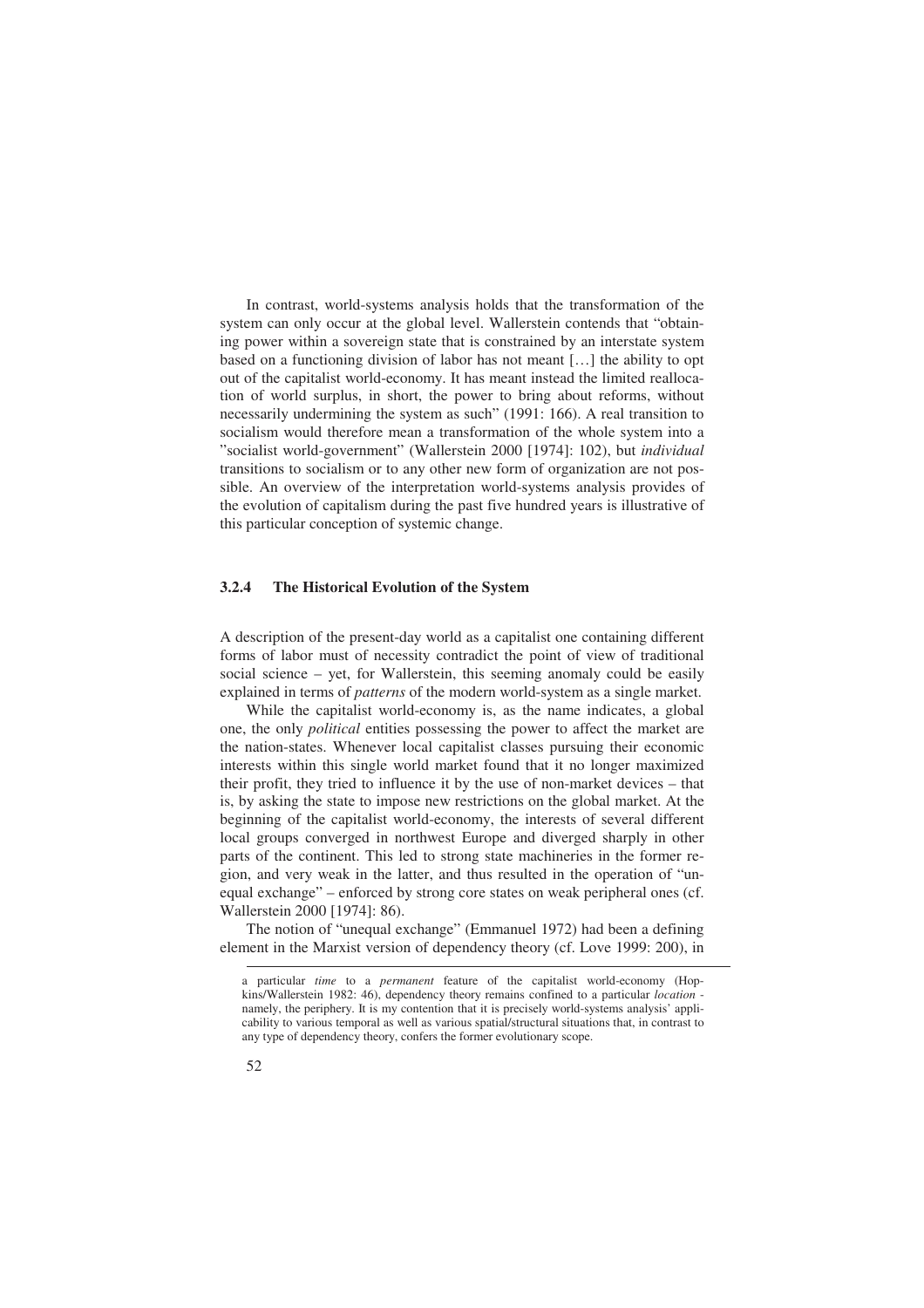In contrast, world-systems analysis holds that the transformation of the system can only occur at the global level. Wallerstein contends that "obtaining power within a sovereign state that is constrained by an interstate system based on a functioning division of labor has not meant […] the ability to opt out of the capitalist world-economy. It has meant instead the limited reallocation of world surplus, in short, the power to bring about reforms, without necessarily undermining the system as such" (1991: 166). A real transition to socialism would therefore mean a transformation of the whole system into a "socialist world-government" (Wallerstein 2000 [1974]: 102), but *individual*  transitions to socialism or to any other new form of organization are not possible. An overview of the interpretation world-systems analysis provides of the evolution of capitalism during the past five hundred years is illustrative of this particular conception of systemic change.

#### **3.2.4 The Historical Evolution of the System**

A description of the present-day world as a capitalist one containing different forms of labor must of necessity contradict the point of view of traditional social science – yet, for Wallerstein, this seeming anomaly could be easily explained in terms of *patterns* of the modern world-system as a single market.

While the capitalist world-economy is, as the name indicates, a global one, the only *political* entities possessing the power to affect the market are the nation-states. Whenever local capitalist classes pursuing their economic interests within this single world market found that it no longer maximized their profit, they tried to influence it by the use of non-market devices – that is, by asking the state to impose new restrictions on the global market. At the beginning of the capitalist world-economy, the interests of several different local groups converged in northwest Europe and diverged sharply in other parts of the continent. This led to strong state machineries in the former region, and very weak in the latter, and thus resulted in the operation of "unequal exchange" – enforced by strong core states on weak peripheral ones (cf. Wallerstein 2000 [1974]: 86).

The notion of "unequal exchange" (Emmanuel 1972) had been a defining element in the Marxist version of dependency theory (cf. Love 1999: 200), in

a particular *time* to a *permanent* feature of the capitalist world-economy (Hopkins/Wallerstein 1982: 46), dependency theory remains confined to a particular *location*  namely, the periphery. It is my contention that it is precisely world-systems analysis' applicability to various temporal as well as various spatial/structural situations that, in contrast to any type of dependency theory, confers the former evolutionary scope.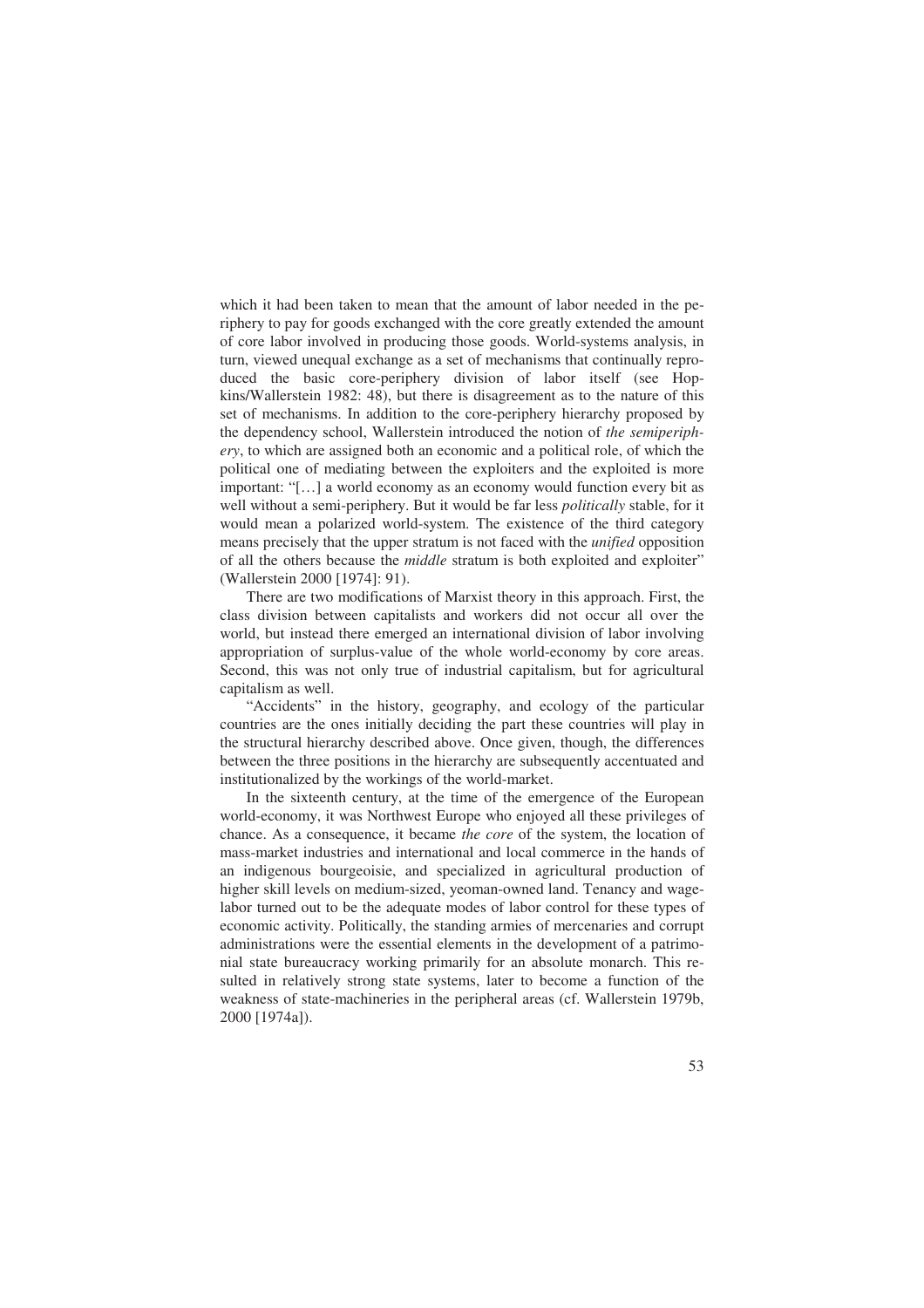which it had been taken to mean that the amount of labor needed in the periphery to pay for goods exchanged with the core greatly extended the amount of core labor involved in producing those goods. World-systems analysis, in turn, viewed unequal exchange as a set of mechanisms that continually reproduced the basic core-periphery division of labor itself (see Hopkins/Wallerstein 1982: 48), but there is disagreement as to the nature of this set of mechanisms. In addition to the core-periphery hierarchy proposed by the dependency school, Wallerstein introduced the notion of *the semiperiphery*, to which are assigned both an economic and a political role, of which the political one of mediating between the exploiters and the exploited is more important: "[…] a world economy as an economy would function every bit as well without a semi-periphery. But it would be far less *politically* stable, for it would mean a polarized world-system. The existence of the third category means precisely that the upper stratum is not faced with the *unified* opposition of all the others because the *middle* stratum is both exploited and exploiter" (Wallerstein 2000 [1974]: 91).

There are two modifications of Marxist theory in this approach. First, the class division between capitalists and workers did not occur all over the world, but instead there emerged an international division of labor involving appropriation of surplus-value of the whole world-economy by core areas. Second, this was not only true of industrial capitalism, but for agricultural capitalism as well.

"Accidents" in the history, geography, and ecology of the particular countries are the ones initially deciding the part these countries will play in the structural hierarchy described above. Once given, though, the differences between the three positions in the hierarchy are subsequently accentuated and institutionalized by the workings of the world-market.

In the sixteenth century, at the time of the emergence of the European world-economy, it was Northwest Europe who enjoyed all these privileges of chance. As a consequence, it became *the core* of the system, the location of mass-market industries and international and local commerce in the hands of an indigenous bourgeoisie, and specialized in agricultural production of higher skill levels on medium-sized, yeoman-owned land. Tenancy and wagelabor turned out to be the adequate modes of labor control for these types of economic activity. Politically, the standing armies of mercenaries and corrupt administrations were the essential elements in the development of a patrimonial state bureaucracy working primarily for an absolute monarch. This resulted in relatively strong state systems, later to become a function of the weakness of state-machineries in the peripheral areas (cf. Wallerstein 1979b, 2000 [1974a]).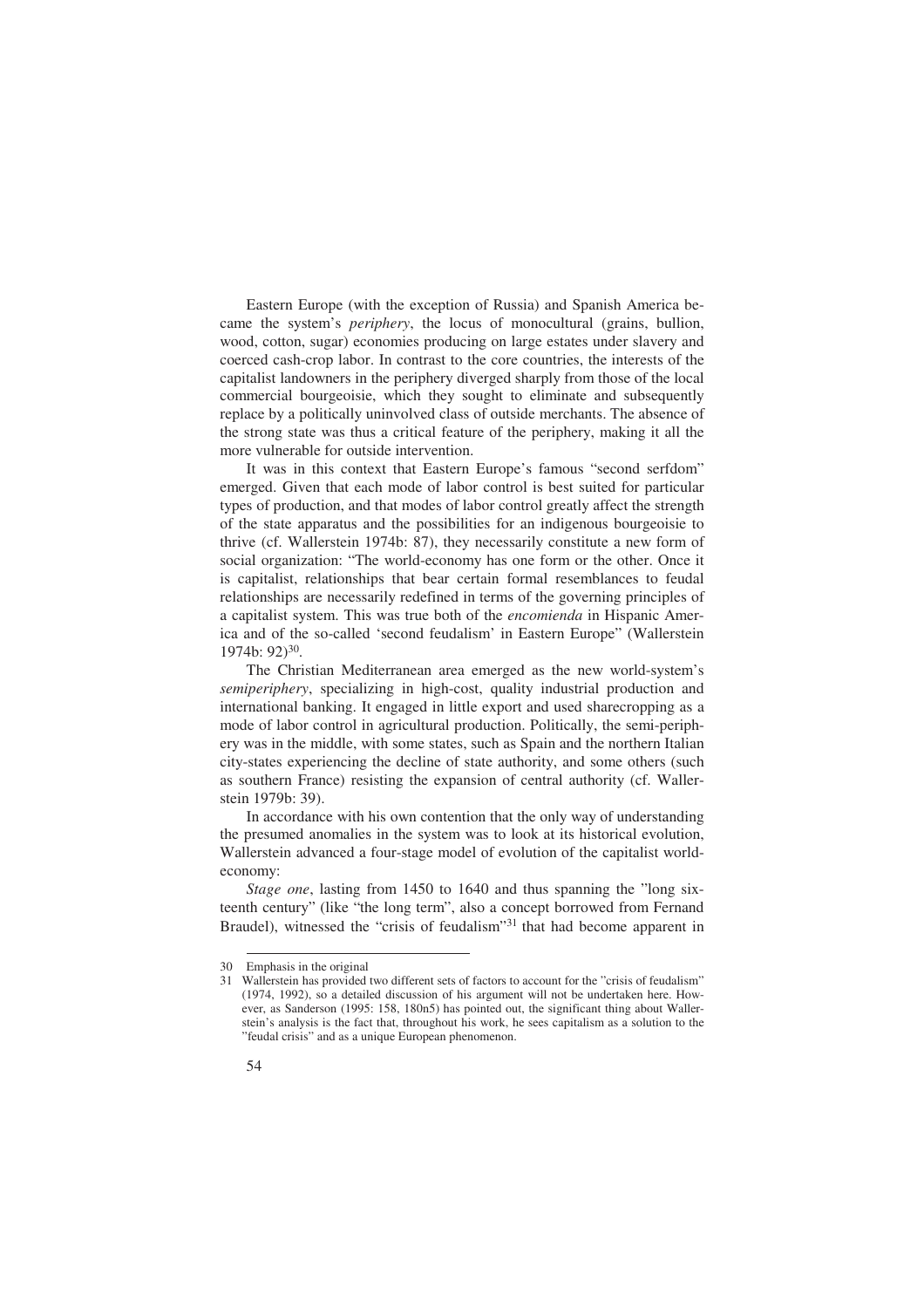Eastern Europe (with the exception of Russia) and Spanish America became the system's *periphery*, the locus of monocultural (grains, bullion, wood, cotton, sugar) economies producing on large estates under slavery and coerced cash-crop labor. In contrast to the core countries, the interests of the capitalist landowners in the periphery diverged sharply from those of the local commercial bourgeoisie, which they sought to eliminate and subsequently replace by a politically uninvolved class of outside merchants. The absence of the strong state was thus a critical feature of the periphery, making it all the more vulnerable for outside intervention.

It was in this context that Eastern Europe's famous "second serfdom" emerged. Given that each mode of labor control is best suited for particular types of production, and that modes of labor control greatly affect the strength of the state apparatus and the possibilities for an indigenous bourgeoisie to thrive (cf. Wallerstein 1974b: 87), they necessarily constitute a new form of social organization: "The world-economy has one form or the other. Once it is capitalist, relationships that bear certain formal resemblances to feudal relationships are necessarily redefined in terms of the governing principles of a capitalist system. This was true both of the *encomienda* in Hispanic America and of the so-called 'second feudalism' in Eastern Europe" (Wallerstein 1974b: 92)30.

The Christian Mediterranean area emerged as the new world-system's *semiperiphery*, specializing in high-cost, quality industrial production and international banking. It engaged in little export and used sharecropping as a mode of labor control in agricultural production. Politically, the semi-periphery was in the middle, with some states, such as Spain and the northern Italian city-states experiencing the decline of state authority, and some others (such as southern France) resisting the expansion of central authority (cf. Wallerstein 1979b: 39).

In accordance with his own contention that the only way of understanding the presumed anomalies in the system was to look at its historical evolution, Wallerstein advanced a four-stage model of evolution of the capitalist worldeconomy:

*Stage one*, lasting from 1450 to 1640 and thus spanning the "long sixteenth century" (like "the long term", also a concept borrowed from Fernand Braudel), witnessed the "crisis of feudalism"31 that had become apparent in

<sup>30</sup> Emphasis in the original

<sup>31</sup> Wallerstein has provided two different sets of factors to account for the "crisis of feudalism" (1974, 1992), so a detailed discussion of his argument will not be undertaken here. However, as Sanderson (1995: 158, 180n5) has pointed out, the significant thing about Wallerstein's analysis is the fact that, throughout his work, he sees capitalism as a solution to the "feudal crisis" and as a unique European phenomenon.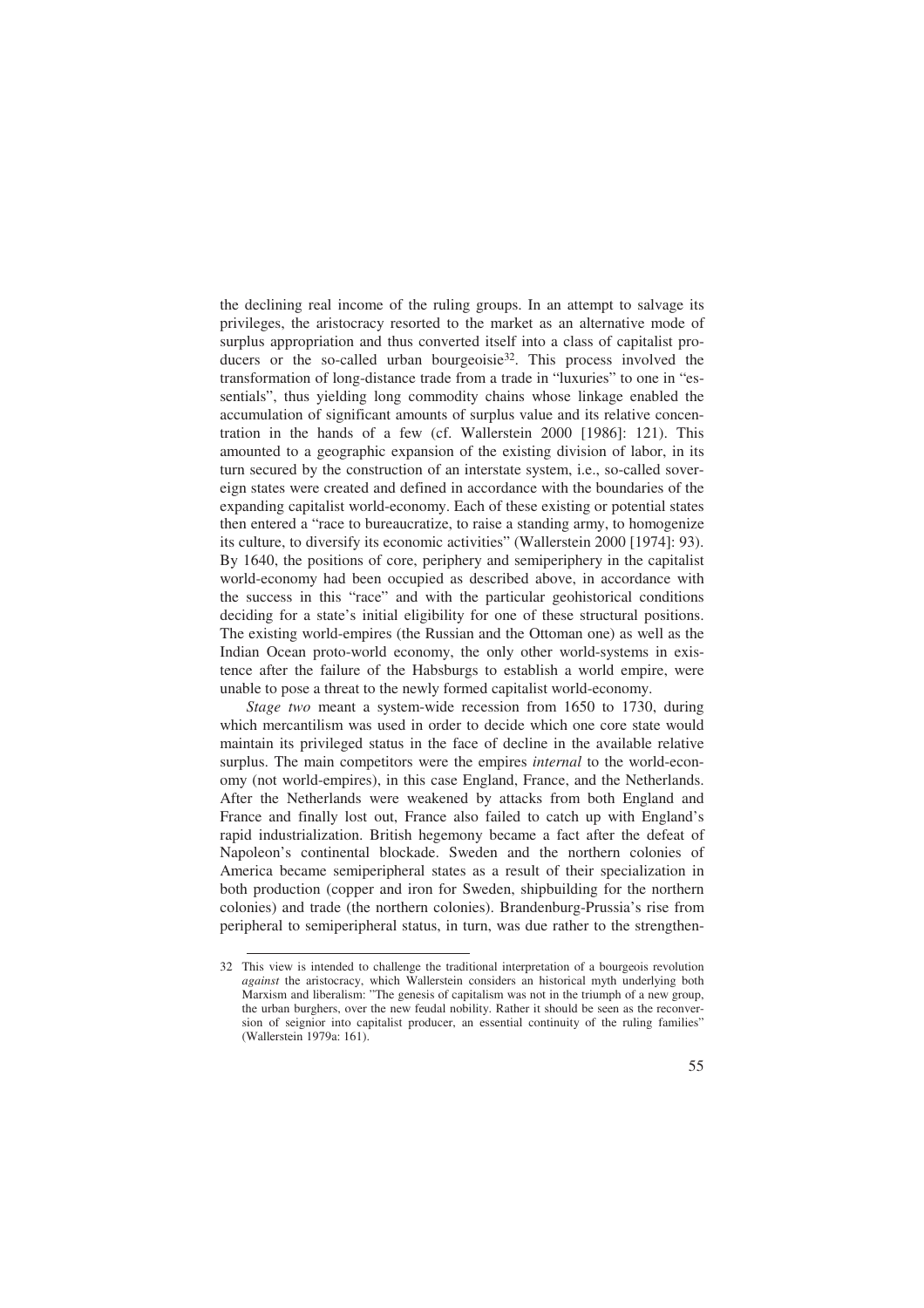the declining real income of the ruling groups. In an attempt to salvage its privileges, the aristocracy resorted to the market as an alternative mode of surplus appropriation and thus converted itself into a class of capitalist producers or the so-called urban bourgeoisie<sup>32</sup>. This process involved the transformation of long-distance trade from a trade in "luxuries" to one in "essentials", thus yielding long commodity chains whose linkage enabled the accumulation of significant amounts of surplus value and its relative concentration in the hands of a few (cf. Wallerstein 2000 [1986]: 121). This amounted to a geographic expansion of the existing division of labor, in its turn secured by the construction of an interstate system, i.e., so-called sovereign states were created and defined in accordance with the boundaries of the expanding capitalist world-economy. Each of these existing or potential states then entered a "race to bureaucratize, to raise a standing army, to homogenize its culture, to diversify its economic activities" (Wallerstein 2000 [1974]: 93). By 1640, the positions of core, periphery and semiperiphery in the capitalist world-economy had been occupied as described above, in accordance with the success in this "race" and with the particular geohistorical conditions deciding for a state's initial eligibility for one of these structural positions. The existing world-empires (the Russian and the Ottoman one) as well as the Indian Ocean proto-world economy, the only other world-systems in existence after the failure of the Habsburgs to establish a world empire, were unable to pose a threat to the newly formed capitalist world-economy.

*Stage two* meant a system-wide recession from 1650 to 1730, during which mercantilism was used in order to decide which one core state would maintain its privileged status in the face of decline in the available relative surplus. The main competitors were the empires *internal* to the world-economy (not world-empires), in this case England, France, and the Netherlands. After the Netherlands were weakened by attacks from both England and France and finally lost out, France also failed to catch up with England's rapid industrialization. British hegemony became a fact after the defeat of Napoleon's continental blockade. Sweden and the northern colonies of America became semiperipheral states as a result of their specialization in both production (copper and iron for Sweden, shipbuilding for the northern colonies) and trade (the northern colonies). Brandenburg-Prussia's rise from peripheral to semiperipheral status, in turn, was due rather to the strengthen-

<sup>32</sup> This view is intended to challenge the traditional interpretation of a bourgeois revolution *against* the aristocracy, which Wallerstein considers an historical myth underlying both Marxism and liberalism: "The genesis of capitalism was not in the triumph of a new group, the urban burghers, over the new feudal nobility. Rather it should be seen as the reconversion of seignior into capitalist producer, an essential continuity of the ruling families" (Wallerstein 1979a: 161).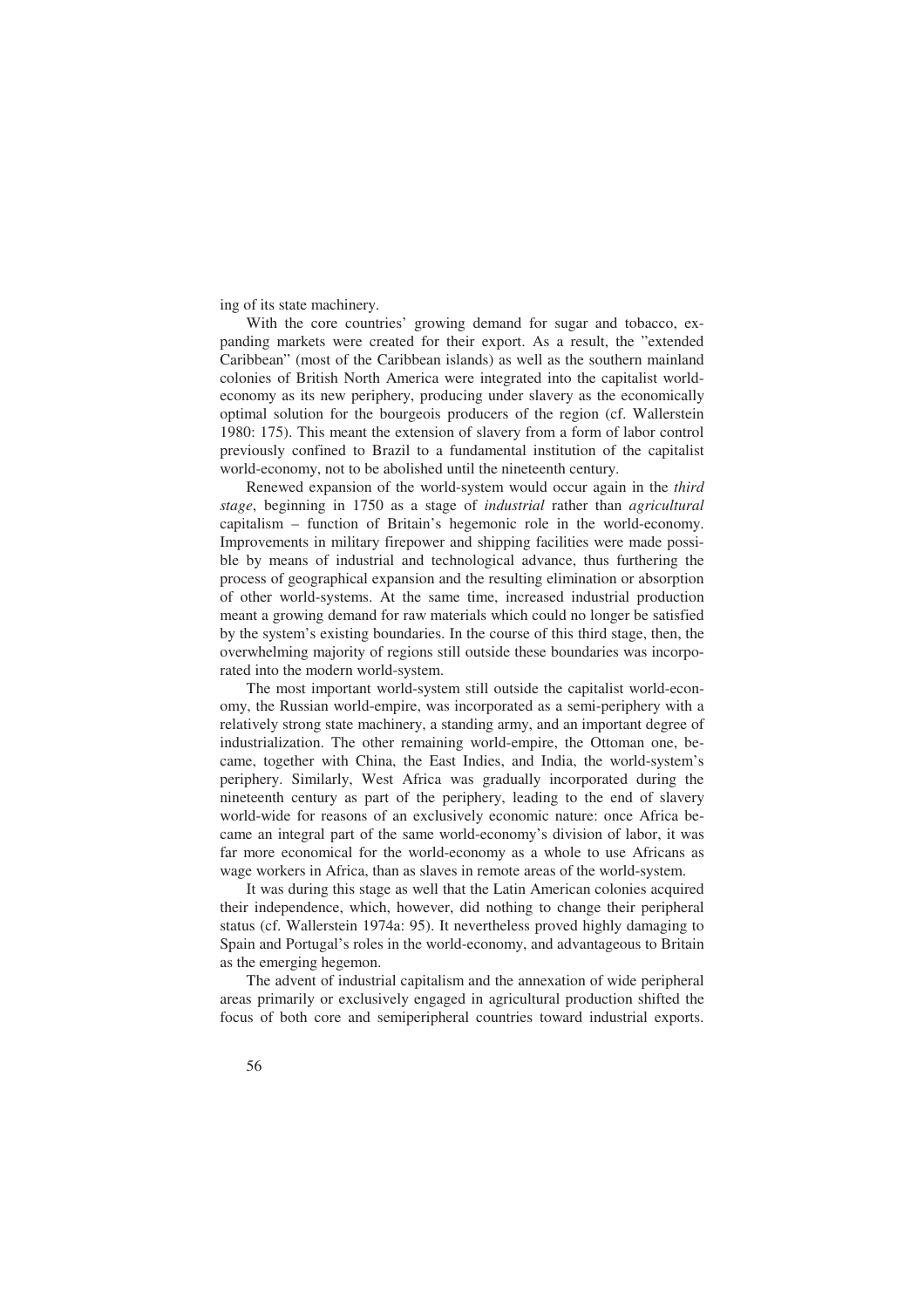ing of its state machinery.

With the core countries' growing demand for sugar and tobacco, expanding markets were created for their export. As a result, the "extended Caribbean" (most of the Caribbean islands) as well as the southern mainland colonies of British North America were integrated into the capitalist worldeconomy as its new periphery, producing under slavery as the economically optimal solution for the bourgeois producers of the region (cf. Wallerstein 1980: 175). This meant the extension of slavery from a form of labor control previously confined to Brazil to a fundamental institution of the capitalist world-economy, not to be abolished until the nineteenth century.

Renewed expansion of the world-system would occur again in the *third stage*, beginning in 1750 as a stage of *industrial* rather than *agricultural*  capitalism – function of Britain's hegemonic role in the world-economy. Improvements in military firepower and shipping facilities were made possible by means of industrial and technological advance, thus furthering the process of geographical expansion and the resulting elimination or absorption of other world-systems. At the same time, increased industrial production meant a growing demand for raw materials which could no longer be satisfied by the system's existing boundaries. In the course of this third stage, then, the overwhelming majority of regions still outside these boundaries was incorporated into the modern world-system.

The most important world-system still outside the capitalist world-economy, the Russian world-empire, was incorporated as a semi-periphery with a relatively strong state machinery, a standing army, and an important degree of industrialization. The other remaining world-empire, the Ottoman one, became, together with China, the East Indies, and India, the world-system's periphery. Similarly, West Africa was gradually incorporated during the nineteenth century as part of the periphery, leading to the end of slavery world-wide for reasons of an exclusively economic nature: once Africa became an integral part of the same world-economy's division of labor, it was far more economical for the world-economy as a whole to use Africans as wage workers in Africa, than as slaves in remote areas of the world-system.

It was during this stage as well that the Latin American colonies acquired their independence, which, however, did nothing to change their peripheral status (cf. Wallerstein 1974a: 95). It nevertheless proved highly damaging to Spain and Portugal's roles in the world-economy, and advantageous to Britain as the emerging hegemon.

The advent of industrial capitalism and the annexation of wide peripheral areas primarily or exclusively engaged in agricultural production shifted the focus of both core and semiperipheral countries toward industrial exports.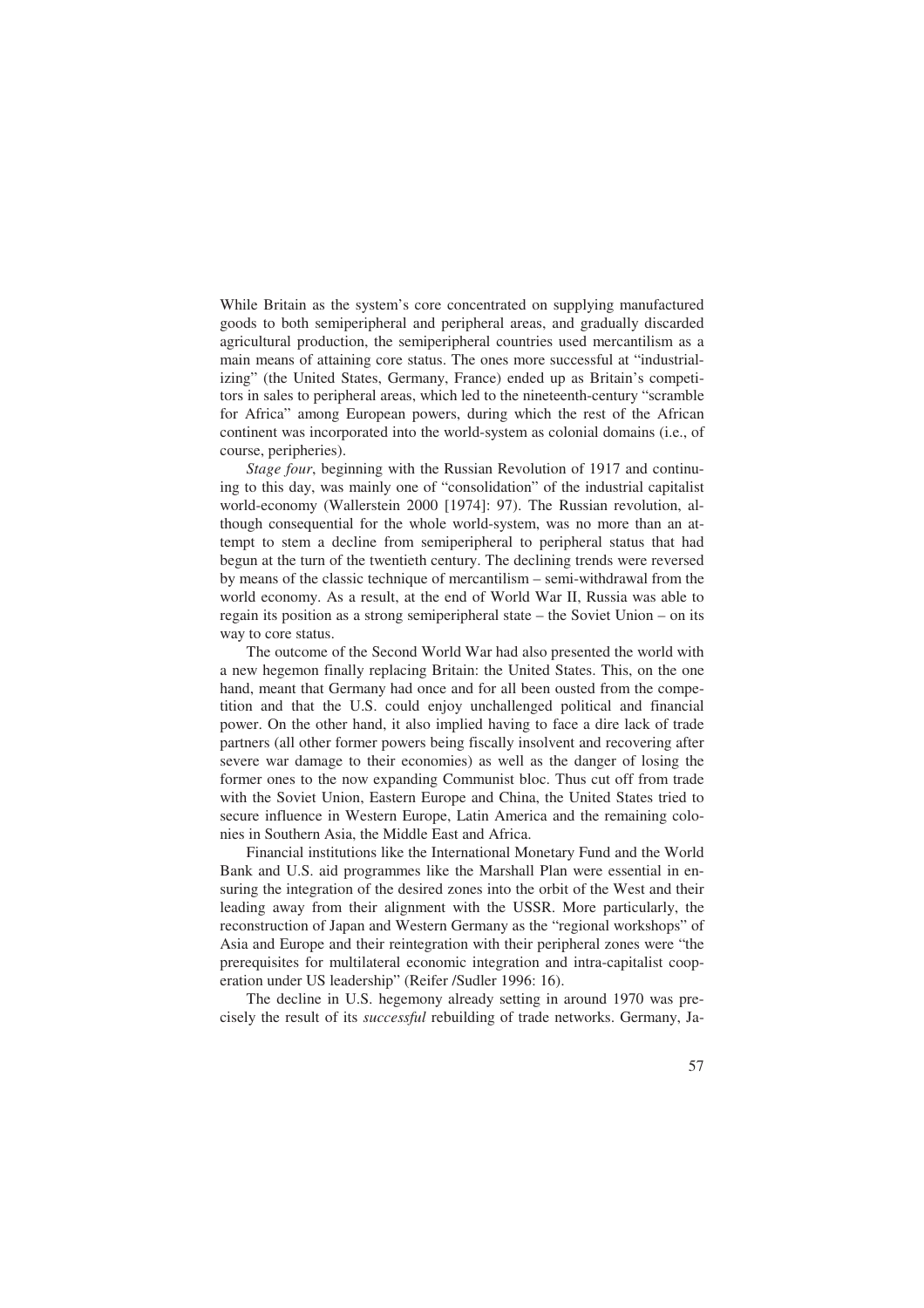While Britain as the system's core concentrated on supplying manufactured goods to both semiperipheral and peripheral areas, and gradually discarded agricultural production, the semiperipheral countries used mercantilism as a main means of attaining core status. The ones more successful at "industrializing" (the United States, Germany, France) ended up as Britain's competitors in sales to peripheral areas, which led to the nineteenth-century "scramble for Africa" among European powers, during which the rest of the African continent was incorporated into the world-system as colonial domains (i.e., of course, peripheries).

*Stage four*, beginning with the Russian Revolution of 1917 and continuing to this day, was mainly one of "consolidation" of the industrial capitalist world-economy (Wallerstein 2000 [1974]: 97). The Russian revolution, although consequential for the whole world-system, was no more than an attempt to stem a decline from semiperipheral to peripheral status that had begun at the turn of the twentieth century. The declining trends were reversed by means of the classic technique of mercantilism – semi-withdrawal from the world economy. As a result, at the end of World War II, Russia was able to regain its position as a strong semiperipheral state – the Soviet Union – on its way to core status.

The outcome of the Second World War had also presented the world with a new hegemon finally replacing Britain: the United States. This, on the one hand, meant that Germany had once and for all been ousted from the competition and that the U.S. could enjoy unchallenged political and financial power. On the other hand, it also implied having to face a dire lack of trade partners (all other former powers being fiscally insolvent and recovering after severe war damage to their economies) as well as the danger of losing the former ones to the now expanding Communist bloc. Thus cut off from trade with the Soviet Union, Eastern Europe and China, the United States tried to secure influence in Western Europe, Latin America and the remaining colonies in Southern Asia, the Middle East and Africa.

Financial institutions like the International Monetary Fund and the World Bank and U.S. aid programmes like the Marshall Plan were essential in ensuring the integration of the desired zones into the orbit of the West and their leading away from their alignment with the USSR. More particularly, the reconstruction of Japan and Western Germany as the "regional workshops" of Asia and Europe and their reintegration with their peripheral zones were "the prerequisites for multilateral economic integration and intra-capitalist cooperation under US leadership" (Reifer /Sudler 1996: 16).

The decline in U.S. hegemony already setting in around 1970 was precisely the result of its *successful* rebuilding of trade networks. Germany, Ja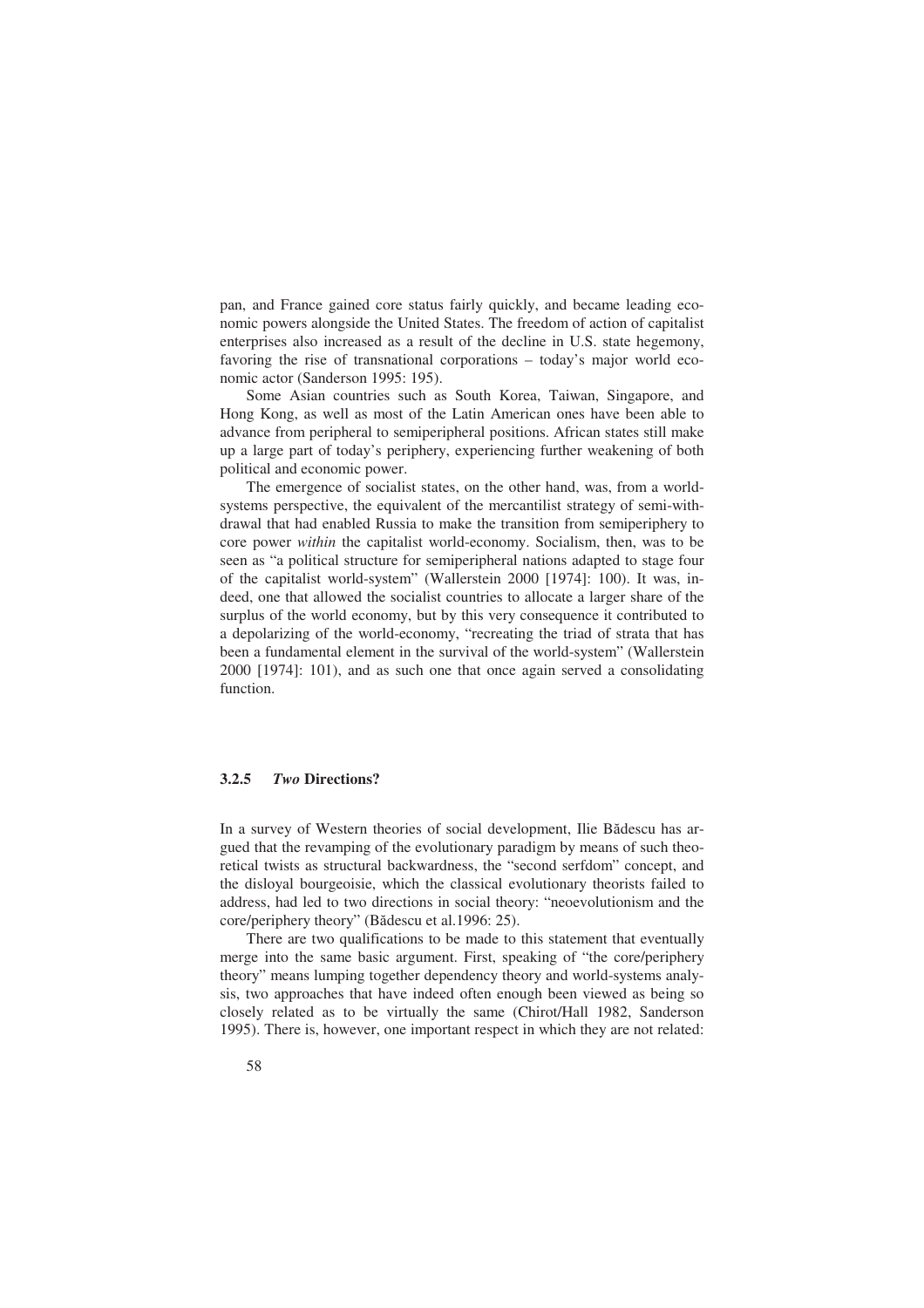pan, and France gained core status fairly quickly, and became leading economic powers alongside the United States. The freedom of action of capitalist enterprises also increased as a result of the decline in U.S. state hegemony, favoring the rise of transnational corporations – today's major world economic actor (Sanderson 1995: 195).

Some Asian countries such as South Korea, Taiwan, Singapore, and Hong Kong, as well as most of the Latin American ones have been able to advance from peripheral to semiperipheral positions. African states still make up a large part of today's periphery, experiencing further weakening of both political and economic power.

The emergence of socialist states, on the other hand, was, from a worldsystems perspective, the equivalent of the mercantilist strategy of semi-withdrawal that had enabled Russia to make the transition from semiperiphery to core power *within* the capitalist world-economy. Socialism, then, was to be seen as "a political structure for semiperipheral nations adapted to stage four of the capitalist world-system" (Wallerstein 2000 [1974]: 100). It was, indeed, one that allowed the socialist countries to allocate a larger share of the surplus of the world economy, but by this very consequence it contributed to a depolarizing of the world-economy, "recreating the triad of strata that has been a fundamental element in the survival of the world-system" (Wallerstein 2000 [1974]: 101), and as such one that once again served a consolidating function.

#### **3.2.5** *Two* **Directions?**

In a survey of Western theories of social development, Ilie Bădescu has argued that the revamping of the evolutionary paradigm by means of such theoretical twists as structural backwardness, the "second serfdom" concept, and the disloyal bourgeoisie, which the classical evolutionary theorists failed to address, had led to two directions in social theory: "neoevolutionism and the core/periphery theory" (Bădescu et al.1996: 25).

There are two qualifications to be made to this statement that eventually merge into the same basic argument. First, speaking of "the core/periphery theory" means lumping together dependency theory and world-systems analysis, two approaches that have indeed often enough been viewed as being so closely related as to be virtually the same (Chirot/Hall 1982, Sanderson 1995). There is, however, one important respect in which they are not related: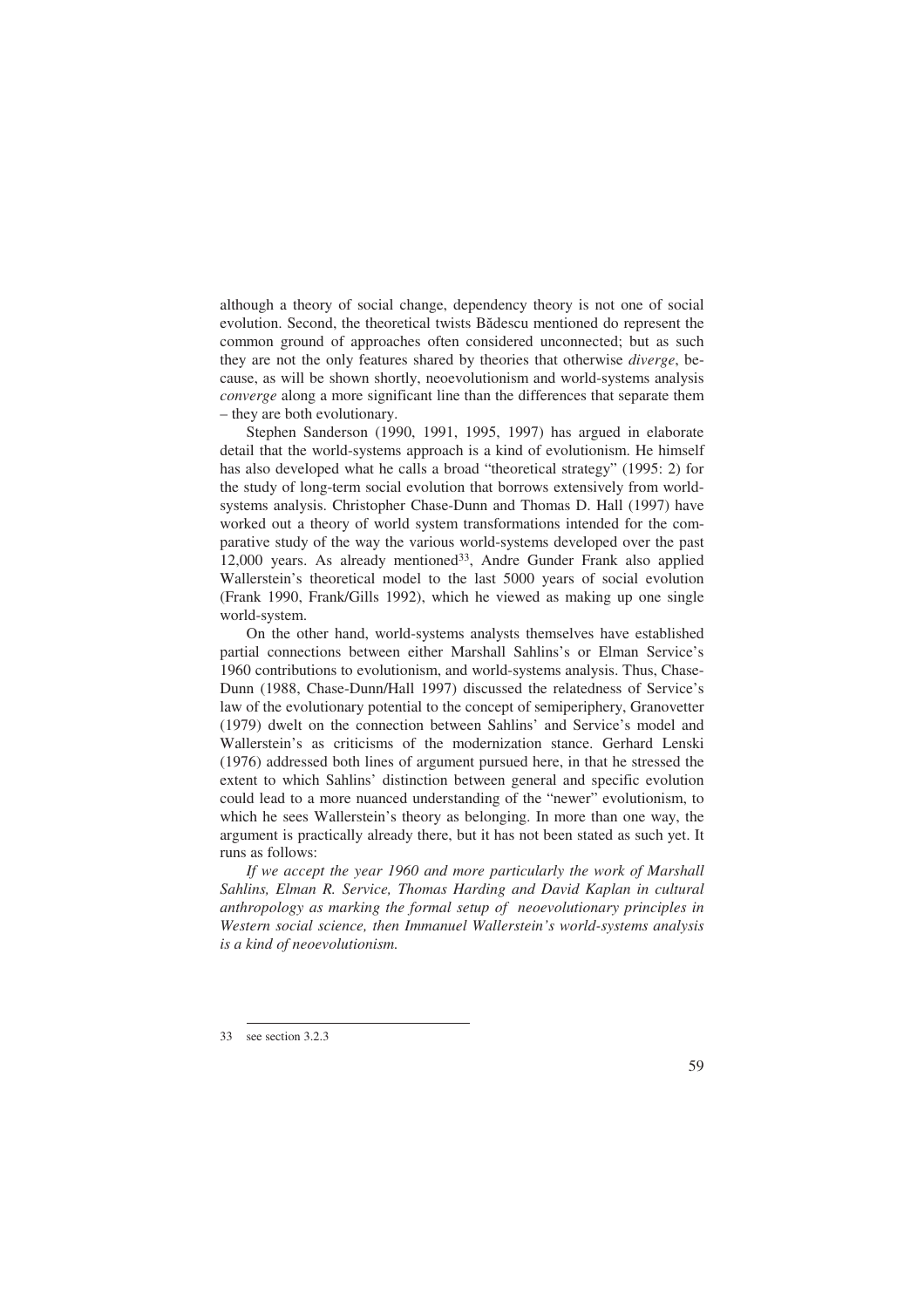although a theory of social change, dependency theory is not one of social evolution. Second, the theoretical twists Bădescu mentioned do represent the common ground of approaches often considered unconnected; but as such they are not the only features shared by theories that otherwise *diverge*, because, as will be shown shortly, neoevolutionism and world-systems analysis *converge* along a more significant line than the differences that separate them – they are both evolutionary.

Stephen Sanderson (1990, 1991, 1995, 1997) has argued in elaborate detail that the world-systems approach is a kind of evolutionism. He himself has also developed what he calls a broad "theoretical strategy" (1995: 2) for the study of long-term social evolution that borrows extensively from worldsystems analysis. Christopher Chase-Dunn and Thomas D. Hall (1997) have worked out a theory of world system transformations intended for the comparative study of the way the various world-systems developed over the past 12,000 years. As already mentioned<sup>33</sup>, Andre Gunder Frank also applied Wallerstein's theoretical model to the last 5000 years of social evolution (Frank 1990, Frank/Gills 1992), which he viewed as making up one single world-system.

On the other hand, world-systems analysts themselves have established partial connections between either Marshall Sahlins's or Elman Service's 1960 contributions to evolutionism, and world-systems analysis. Thus, Chase-Dunn (1988, Chase-Dunn/Hall 1997) discussed the relatedness of Service's law of the evolutionary potential to the concept of semiperiphery, Granovetter (1979) dwelt on the connection between Sahlins' and Service's model and Wallerstein's as criticisms of the modernization stance. Gerhard Lenski (1976) addressed both lines of argument pursued here, in that he stressed the extent to which Sahlins' distinction between general and specific evolution could lead to a more nuanced understanding of the "newer" evolutionism, to which he sees Wallerstein's theory as belonging. In more than one way, the argument is practically already there, but it has not been stated as such yet. It runs as follows:

*If we accept the year 1960 and more particularly the work of Marshall Sahlins, Elman R. Service, Thomas Harding and David Kaplan in cultural anthropology as marking the formal setup of neoevolutionary principles in Western social science, then Immanuel Wallerstein's world-systems analysis is a kind of neoevolutionism.* 

<sup>33</sup> see section 3.2.3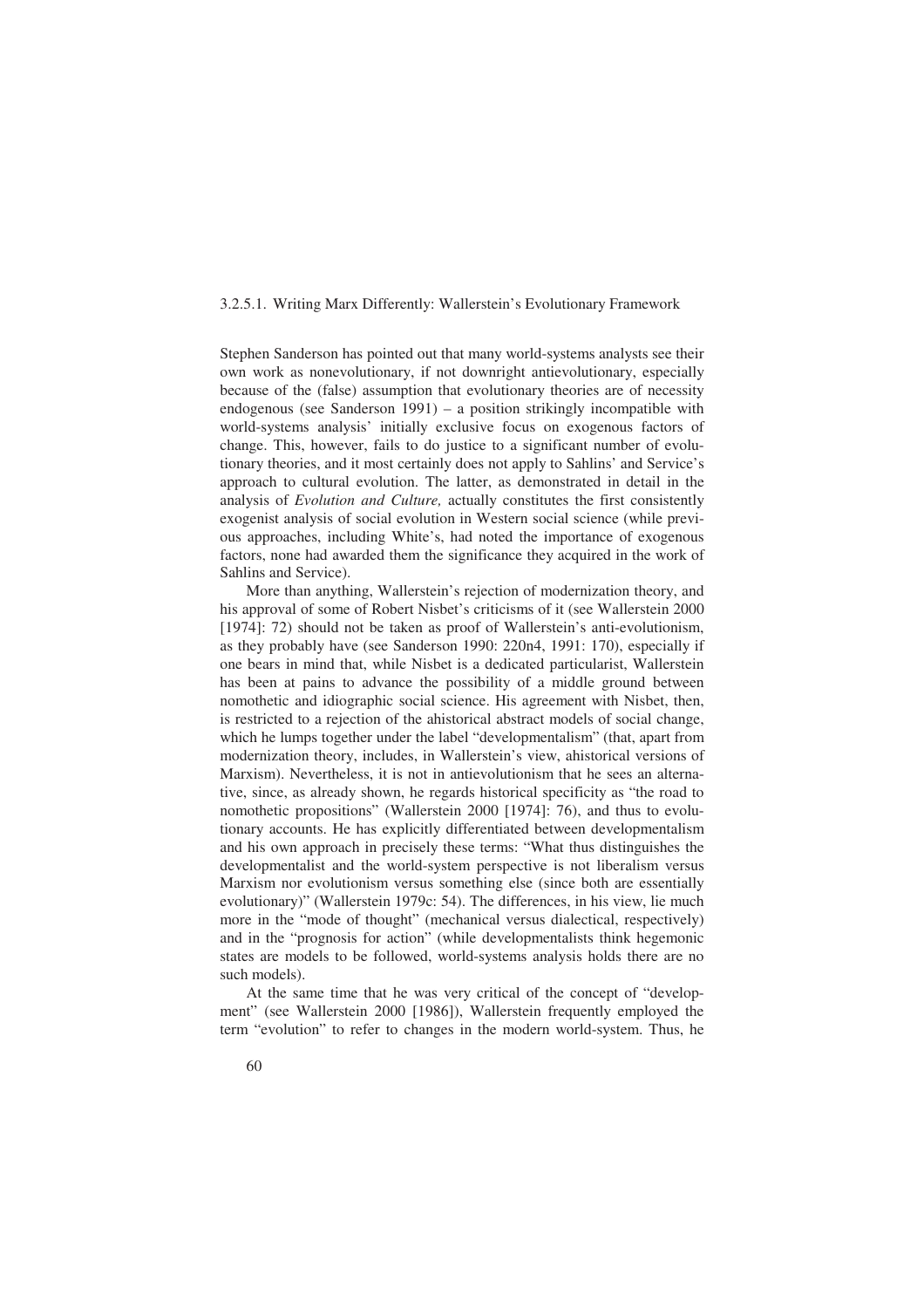#### 3.2.5.1. Writing Marx Differently: Wallerstein's Evolutionary Framework

Stephen Sanderson has pointed out that many world-systems analysts see their own work as nonevolutionary, if not downright antievolutionary, especially because of the (false) assumption that evolutionary theories are of necessity endogenous (see Sanderson 1991) – a position strikingly incompatible with world-systems analysis' initially exclusive focus on exogenous factors of change. This, however, fails to do justice to a significant number of evolutionary theories, and it most certainly does not apply to Sahlins' and Service's approach to cultural evolution. The latter, as demonstrated in detail in the analysis of *Evolution and Culture,* actually constitutes the first consistently exogenist analysis of social evolution in Western social science (while previous approaches, including White's, had noted the importance of exogenous factors, none had awarded them the significance they acquired in the work of Sahlins and Service).

More than anything, Wallerstein's rejection of modernization theory, and his approval of some of Robert Nisbet's criticisms of it (see Wallerstein 2000 [1974]: 72) should not be taken as proof of Wallerstein's anti-evolutionism, as they probably have (see Sanderson 1990: 220n4, 1991: 170), especially if one bears in mind that, while Nisbet is a dedicated particularist, Wallerstein has been at pains to advance the possibility of a middle ground between nomothetic and idiographic social science. His agreement with Nisbet, then, is restricted to a rejection of the ahistorical abstract models of social change, which he lumps together under the label "developmentalism" (that, apart from modernization theory, includes, in Wallerstein's view, ahistorical versions of Marxism). Nevertheless, it is not in antievolutionism that he sees an alternative, since, as already shown, he regards historical specificity as "the road to nomothetic propositions" (Wallerstein 2000 [1974]: 76), and thus to evolutionary accounts. He has explicitly differentiated between developmentalism and his own approach in precisely these terms: "What thus distinguishes the developmentalist and the world-system perspective is not liberalism versus Marxism nor evolutionism versus something else (since both are essentially evolutionary)" (Wallerstein 1979c: 54). The differences, in his view, lie much more in the "mode of thought" (mechanical versus dialectical, respectively) and in the "prognosis for action" (while developmentalists think hegemonic states are models to be followed, world-systems analysis holds there are no such models).

At the same time that he was very critical of the concept of "development" (see Wallerstein 2000 [1986]), Wallerstein frequently employed the term "evolution" to refer to changes in the modern world-system. Thus, he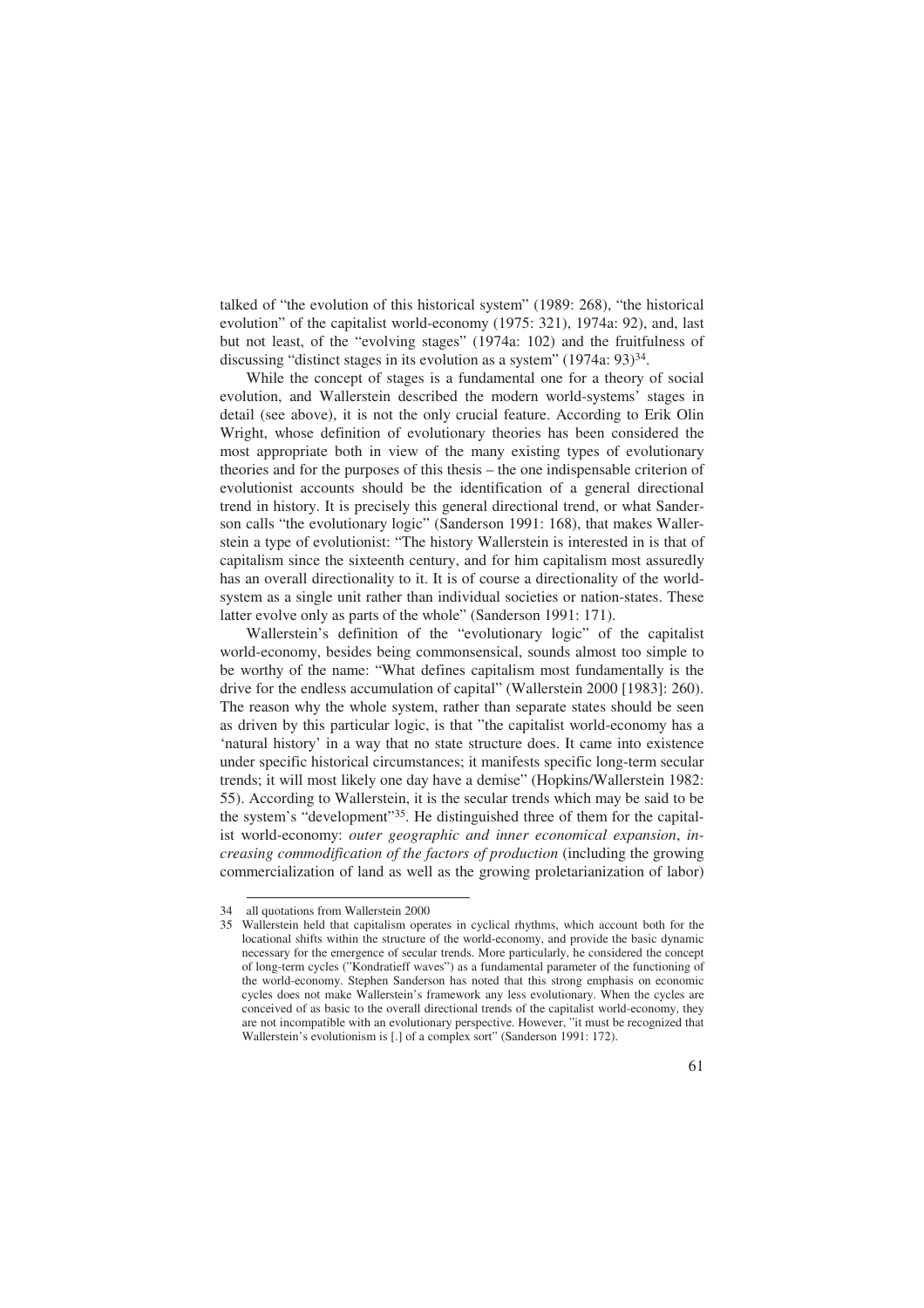talked of "the evolution of this historical system" (1989: 268), "the historical evolution" of the capitalist world-economy (1975: 321), 1974a: 92), and, last but not least, of the "evolving stages" (1974a: 102) and the fruitfulness of discussing "distinct stages in its evolution as a system" (1974a: 93)<sup>34</sup>.

While the concept of stages is a fundamental one for a theory of social evolution, and Wallerstein described the modern world-systems' stages in detail (see above), it is not the only crucial feature. According to Erik Olin Wright, whose definition of evolutionary theories has been considered the most appropriate both in view of the many existing types of evolutionary theories and for the purposes of this thesis – the one indispensable criterion of evolutionist accounts should be the identification of a general directional trend in history. It is precisely this general directional trend, or what Sanderson calls "the evolutionary logic" (Sanderson 1991: 168), that makes Wallerstein a type of evolutionist: "The history Wallerstein is interested in is that of capitalism since the sixteenth century, and for him capitalism most assuredly has an overall directionality to it. It is of course a directionality of the worldsystem as a single unit rather than individual societies or nation-states. These latter evolve only as parts of the whole" (Sanderson 1991: 171).

Wallerstein's definition of the "evolutionary logic" of the capitalist world-economy, besides being commonsensical, sounds almost too simple to be worthy of the name: "What defines capitalism most fundamentally is the drive for the endless accumulation of capital" (Wallerstein 2000 [1983]: 260). The reason why the whole system, rather than separate states should be seen as driven by this particular logic, is that "the capitalist world-economy has a 'natural history' in a way that no state structure does. It came into existence under specific historical circumstances; it manifests specific long-term secular trends; it will most likely one day have a demise" (Hopkins/Wallerstein 1982: 55). According to Wallerstein, it is the secular trends which may be said to be the system's "development"35. He distinguished three of them for the capitalist world-economy: *outer geographic and inner economical expansion*, *increasing commodification of the factors of production* (including the growing commercialization of land as well as the growing proletarianization of labor)

<sup>34</sup> all quotations from Wallerstein 2000

<sup>35</sup> Wallerstein held that capitalism operates in cyclical rhythms, which account both for the locational shifts within the structure of the world-economy, and provide the basic dynamic necessary for the emergence of secular trends. More particularly, he considered the concept of long-term cycles ("Kondratieff waves") as a fundamental parameter of the functioning of the world-economy. Stephen Sanderson has noted that this strong emphasis on economic cycles does not make Wallerstein's framework any less evolutionary. When the cycles are conceived of as basic to the overall directional trends of the capitalist world-economy, they are not incompatible with an evolutionary perspective. However, "it must be recognized that Wallerstein's evolutionism is [.] of a complex sort" (Sanderson 1991: 172).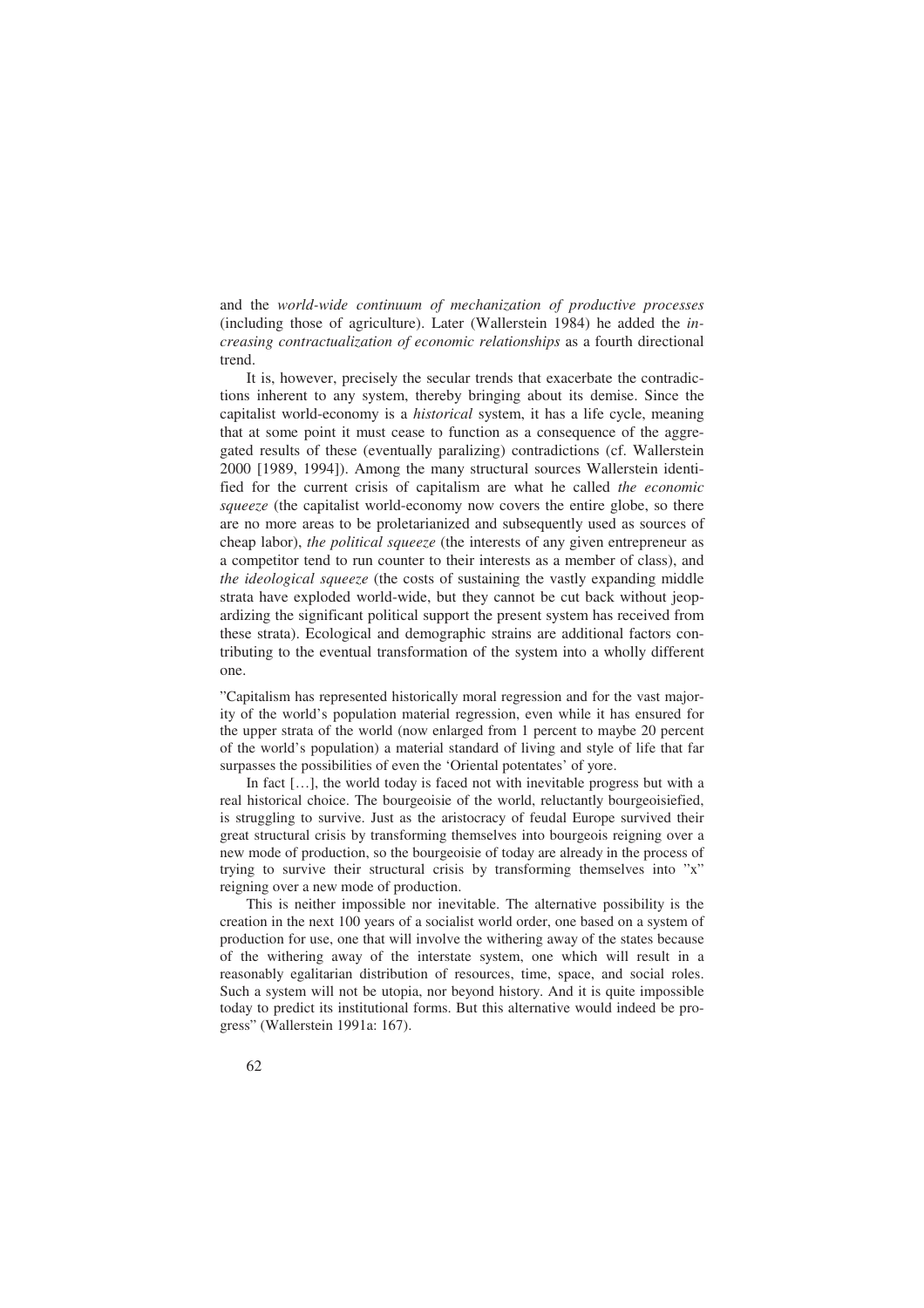and the *world-wide continuum of mechanization of productive processes* (including those of agriculture). Later (Wallerstein 1984) he added the *increasing contractualization of economic relationships* as a fourth directional trend.

It is, however, precisely the secular trends that exacerbate the contradictions inherent to any system, thereby bringing about its demise. Since the capitalist world-economy is a *historical* system, it has a life cycle, meaning that at some point it must cease to function as a consequence of the aggregated results of these (eventually paralizing) contradictions (cf. Wallerstein 2000 [1989, 1994]). Among the many structural sources Wallerstein identified for the current crisis of capitalism are what he called *the economic squeeze* (the capitalist world-economy now covers the entire globe, so there are no more areas to be proletarianized and subsequently used as sources of cheap labor), *the political squeeze* (the interests of any given entrepreneur as a competitor tend to run counter to their interests as a member of class), and *the ideological squeeze* (the costs of sustaining the vastly expanding middle strata have exploded world-wide, but they cannot be cut back without jeopardizing the significant political support the present system has received from these strata). Ecological and demographic strains are additional factors contributing to the eventual transformation of the system into a wholly different one.

"Capitalism has represented historically moral regression and for the vast majority of the world's population material regression, even while it has ensured for the upper strata of the world (now enlarged from 1 percent to maybe 20 percent of the world's population) a material standard of living and style of life that far surpasses the possibilities of even the 'Oriental potentates' of yore.

In fact [...], the world today is faced not with inevitable progress but with a real historical choice. The bourgeoisie of the world, reluctantly bourgeoisiefied, is struggling to survive. Just as the aristocracy of feudal Europe survived their great structural crisis by transforming themselves into bourgeois reigning over a new mode of production, so the bourgeoisie of today are already in the process of trying to survive their structural crisis by transforming themselves into "x" reigning over a new mode of production.

This is neither impossible nor inevitable. The alternative possibility is the creation in the next 100 years of a socialist world order, one based on a system of production for use, one that will involve the withering away of the states because of the withering away of the interstate system, one which will result in a reasonably egalitarian distribution of resources, time, space, and social roles. Such a system will not be utopia, nor beyond history. And it is quite impossible today to predict its institutional forms. But this alternative would indeed be progress" (Wallerstein 1991a: 167).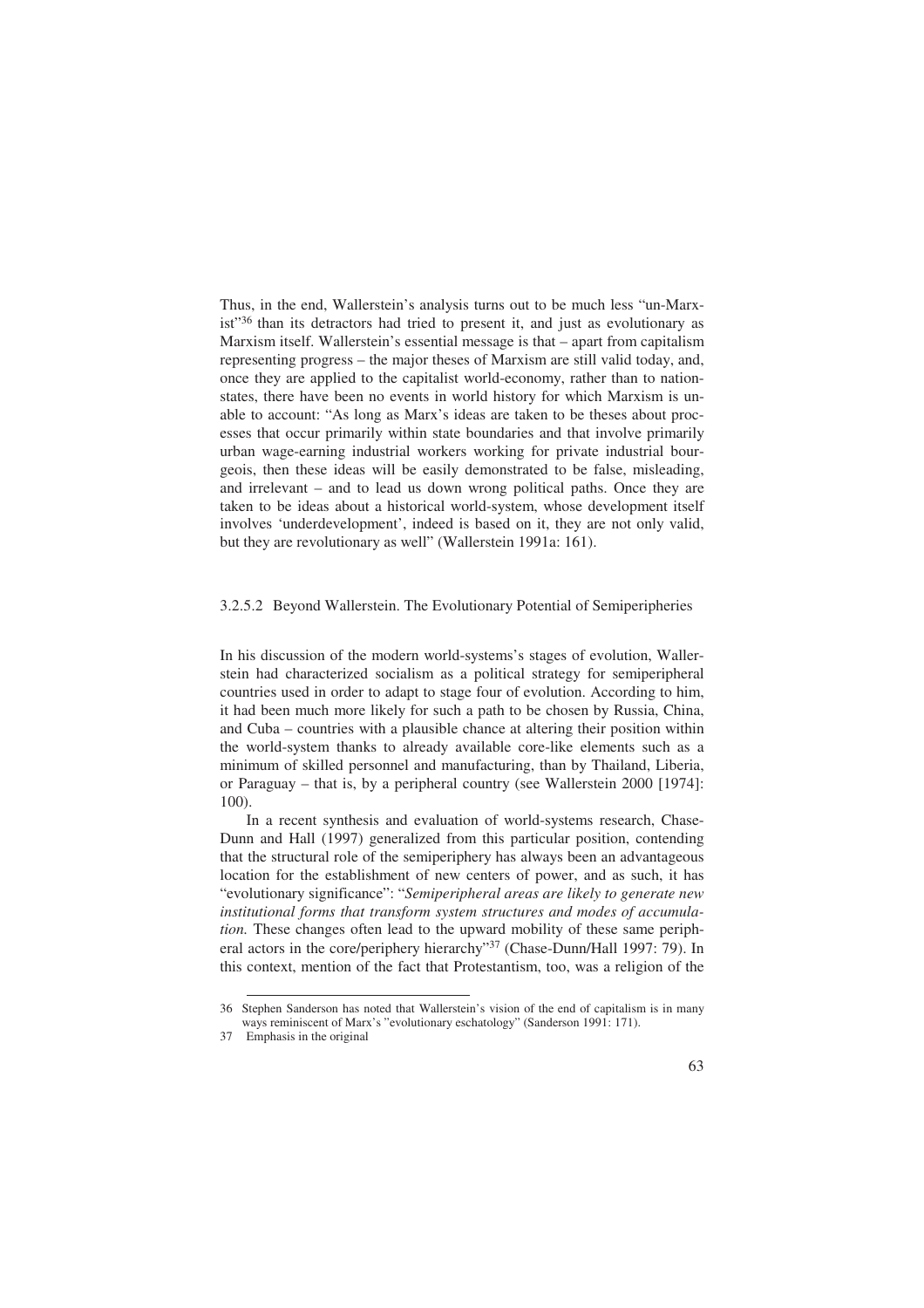Thus, in the end, Wallerstein's analysis turns out to be much less "un-Marxist"36 than its detractors had tried to present it, and just as evolutionary as Marxism itself. Wallerstein's essential message is that – apart from capitalism representing progress – the major theses of Marxism are still valid today, and, once they are applied to the capitalist world-economy, rather than to nationstates, there have been no events in world history for which Marxism is unable to account: "As long as Marx's ideas are taken to be theses about processes that occur primarily within state boundaries and that involve primarily urban wage-earning industrial workers working for private industrial bourgeois, then these ideas will be easily demonstrated to be false, misleading, and irrelevant – and to lead us down wrong political paths. Once they are taken to be ideas about a historical world-system, whose development itself involves 'underdevelopment', indeed is based on it, they are not only valid, but they are revolutionary as well" (Wallerstein 1991a: 161).

#### 3.2.5.2 Beyond Wallerstein. The Evolutionary Potential of Semiperipheries

In his discussion of the modern world-systems's stages of evolution, Wallerstein had characterized socialism as a political strategy for semiperipheral countries used in order to adapt to stage four of evolution. According to him, it had been much more likely for such a path to be chosen by Russia, China, and Cuba – countries with a plausible chance at altering their position within the world-system thanks to already available core-like elements such as a minimum of skilled personnel and manufacturing, than by Thailand, Liberia, or Paraguay – that is, by a peripheral country (see Wallerstein 2000 [1974]: 100).

In a recent synthesis and evaluation of world-systems research, Chase-Dunn and Hall (1997) generalized from this particular position, contending that the structural role of the semiperiphery has always been an advantageous location for the establishment of new centers of power, and as such, it has "evolutionary significance": "*Semiperipheral areas are likely to generate new institutional forms that transform system structures and modes of accumulation.* These changes often lead to the upward mobility of these same peripheral actors in the core/periphery hierarchy"37 (Chase-Dunn/Hall 1997: 79). In this context, mention of the fact that Protestantism, too, was a religion of the

<sup>36</sup> Stephen Sanderson has noted that Wallerstein's vision of the end of capitalism is in many ways reminiscent of Marx's "evolutionary eschatology" (Sanderson 1991: 171).

<sup>37</sup> Emphasis in the original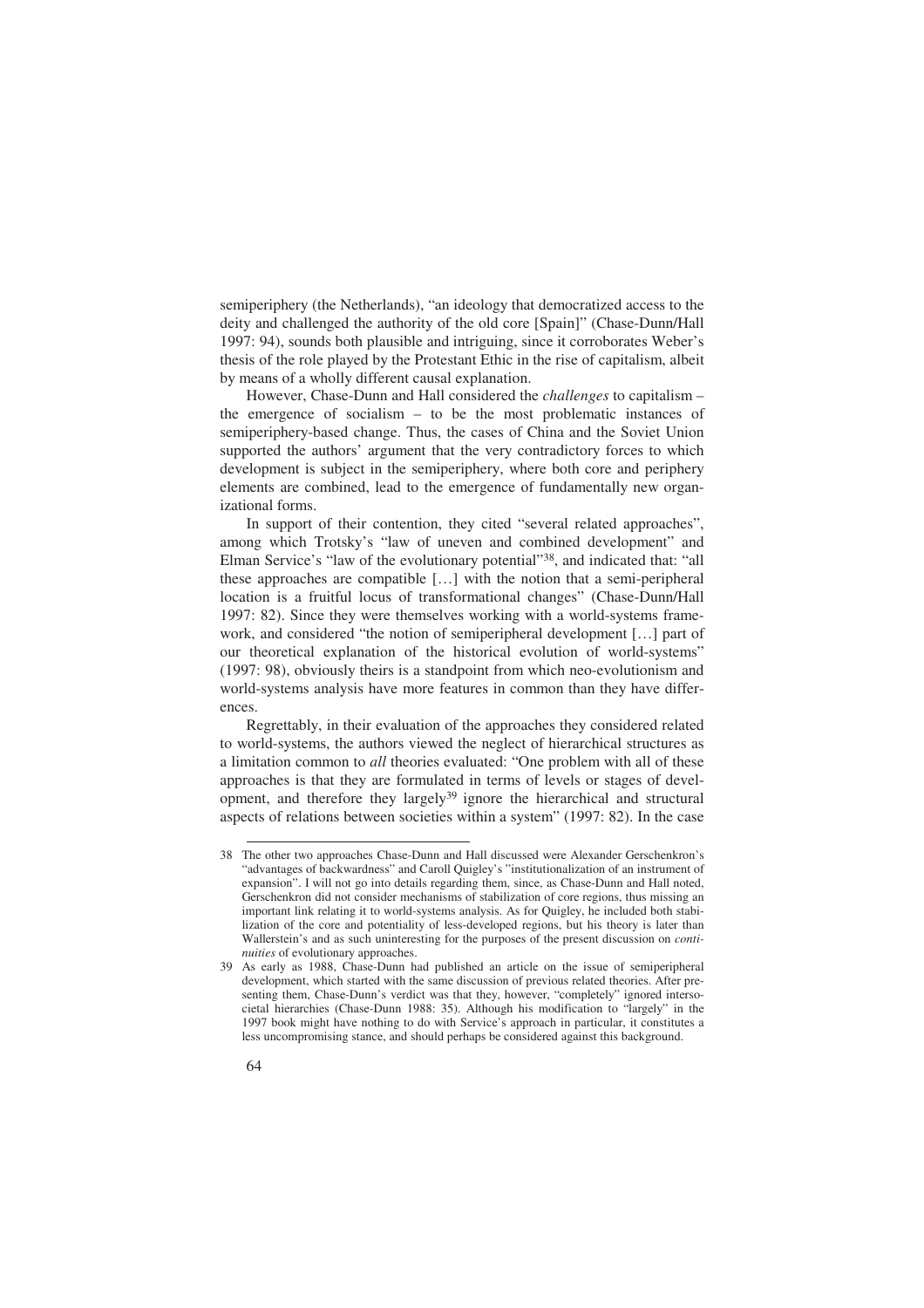semiperiphery (the Netherlands), "an ideology that democratized access to the deity and challenged the authority of the old core [Spain]" (Chase-Dunn/Hall 1997: 94), sounds both plausible and intriguing, since it corroborates Weber's thesis of the role played by the Protestant Ethic in the rise of capitalism, albeit by means of a wholly different causal explanation.

However, Chase-Dunn and Hall considered the *challenges* to capitalism – the emergence of socialism – to be the most problematic instances of semiperiphery-based change. Thus, the cases of China and the Soviet Union supported the authors' argument that the very contradictory forces to which development is subject in the semiperiphery, where both core and periphery elements are combined, lead to the emergence of fundamentally new organizational forms.

In support of their contention, they cited "several related approaches", among which Trotsky's "law of uneven and combined development" and Elman Service's "law of the evolutionary potential"38, and indicated that: "all these approaches are compatible […] with the notion that a semi-peripheral location is a fruitful locus of transformational changes" (Chase-Dunn/Hall 1997: 82). Since they were themselves working with a world-systems framework, and considered "the notion of semiperipheral development […] part of our theoretical explanation of the historical evolution of world-systems" (1997: 98), obviously theirs is a standpoint from which neo-evolutionism and world-systems analysis have more features in common than they have differences.

Regrettably, in their evaluation of the approaches they considered related to world-systems, the authors viewed the neglect of hierarchical structures as a limitation common to *all* theories evaluated: "One problem with all of these approaches is that they are formulated in terms of levels or stages of development, and therefore they largely39 ignore the hierarchical and structural aspects of relations between societies within a system" (1997: 82). In the case

<sup>38</sup> The other two approaches Chase-Dunn and Hall discussed were Alexander Gerschenkron's "advantages of backwardness" and Caroll Quigley's "institutionalization of an instrument of expansion". I will not go into details regarding them, since, as Chase-Dunn and Hall noted, Gerschenkron did not consider mechanisms of stabilization of core regions, thus missing an important link relating it to world-systems analysis. As for Quigley, he included both stabilization of the core and potentiality of less-developed regions, but his theory is later than Wallerstein's and as such uninteresting for the purposes of the present discussion on *continuities* of evolutionary approaches.

<sup>39</sup> As early as 1988, Chase-Dunn had published an article on the issue of semiperipheral development, which started with the same discussion of previous related theories. After presenting them, Chase-Dunn's verdict was that they, however, "completely" ignored intersocietal hierarchies (Chase-Dunn 1988: 35). Although his modification to "largely" in the 1997 book might have nothing to do with Service's approach in particular, it constitutes a less uncompromising stance, and should perhaps be considered against this background.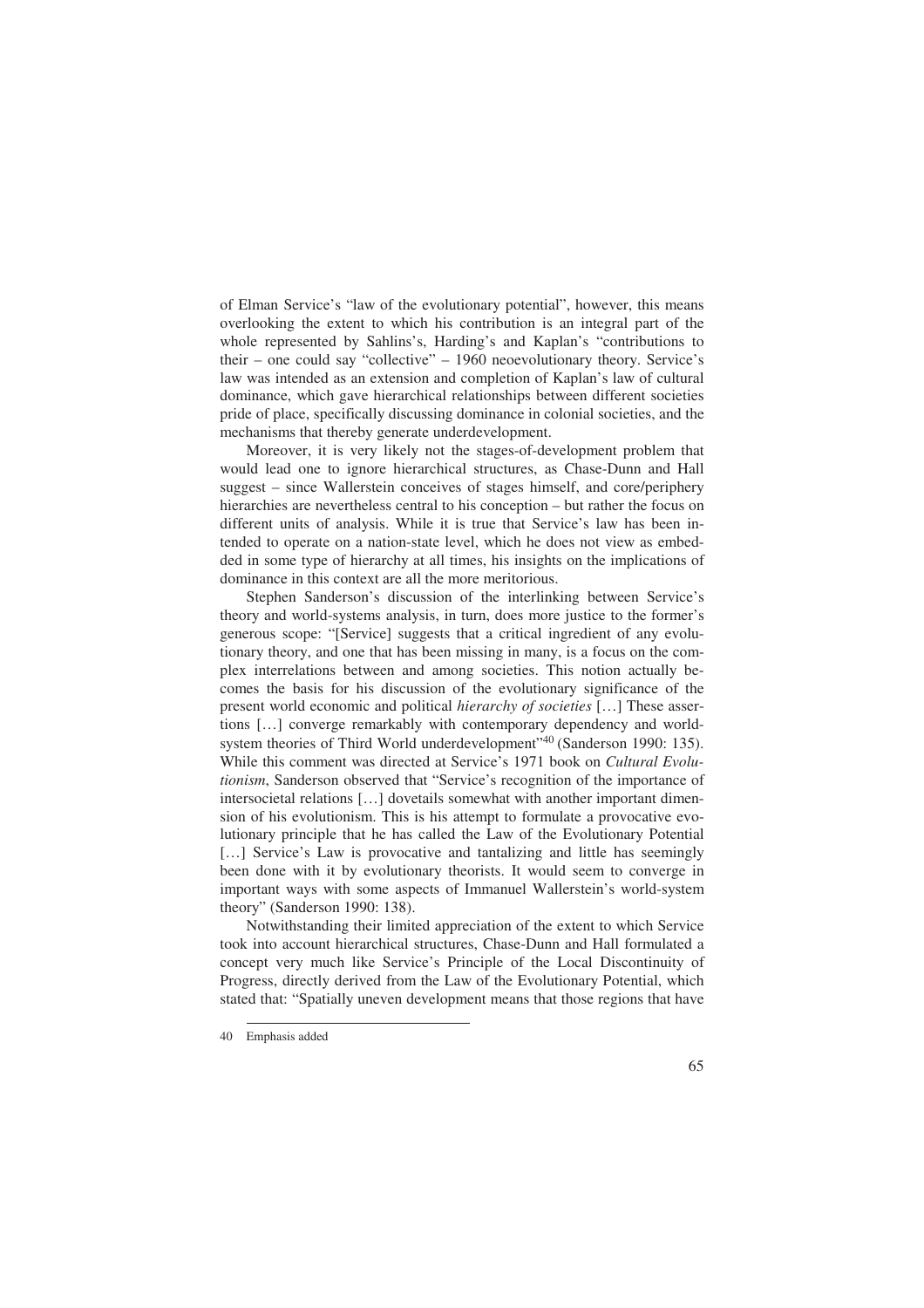of Elman Service's "law of the evolutionary potential", however, this means overlooking the extent to which his contribution is an integral part of the whole represented by Sahlins's, Harding's and Kaplan's "contributions to their – one could say "collective" – 1960 neoevolutionary theory. Service's law was intended as an extension and completion of Kaplan's law of cultural dominance, which gave hierarchical relationships between different societies pride of place, specifically discussing dominance in colonial societies, and the mechanisms that thereby generate underdevelopment.

Moreover, it is very likely not the stages-of-development problem that would lead one to ignore hierarchical structures, as Chase-Dunn and Hall suggest – since Wallerstein conceives of stages himself, and core/periphery hierarchies are nevertheless central to his conception – but rather the focus on different units of analysis. While it is true that Service's law has been intended to operate on a nation-state level, which he does not view as embedded in some type of hierarchy at all times, his insights on the implications of dominance in this context are all the more meritorious.

Stephen Sanderson's discussion of the interlinking between Service's theory and world-systems analysis, in turn, does more justice to the former's generous scope: "[Service] suggests that a critical ingredient of any evolutionary theory, and one that has been missing in many, is a focus on the complex interrelations between and among societies. This notion actually becomes the basis for his discussion of the evolutionary significance of the present world economic and political *hierarchy of societies* […] These assertions […] converge remarkably with contemporary dependency and worldsystem theories of Third World underdevelopment"40 (Sanderson 1990: 135). While this comment was directed at Service's 1971 book on *Cultural Evolutionism*, Sanderson observed that "Service's recognition of the importance of intersocietal relations […] dovetails somewhat with another important dimension of his evolutionism. This is his attempt to formulate a provocative evolutionary principle that he has called the Law of the Evolutionary Potential [...] Service's Law is provocative and tantalizing and little has seemingly been done with it by evolutionary theorists. It would seem to converge in important ways with some aspects of Immanuel Wallerstein's world-system theory" (Sanderson 1990: 138).

Notwithstanding their limited appreciation of the extent to which Service took into account hierarchical structures, Chase-Dunn and Hall formulated a concept very much like Service's Principle of the Local Discontinuity of Progress, directly derived from the Law of the Evolutionary Potential, which stated that: "Spatially uneven development means that those regions that have

<sup>40</sup> Emphasis added